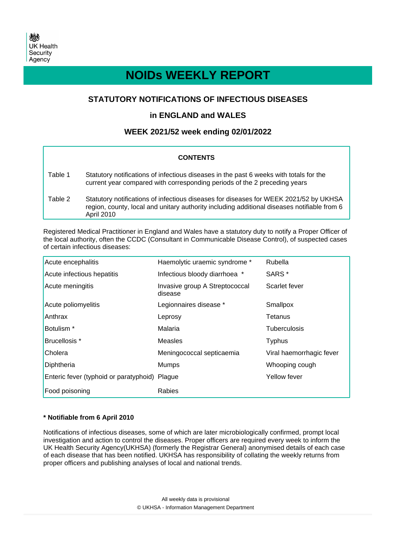# **NOIDs WEEKLY REPORT**

# **STATUTORY NOTIFICATIONS OF INFECTIOUS DISEASES**

# **in ENGLAND and WALES**

# **WEEK 2021/52 week ending 02/01/2022**

### **CONTENTS**

| Table 1 | Statutory notifications of infectious diseases in the past 6 weeks with totals for the<br>current year compared with corresponding periods of the 2 preceding years                                |
|---------|----------------------------------------------------------------------------------------------------------------------------------------------------------------------------------------------------|
| Table 2 | Statutory notifications of infectious diseases for diseases for WEEK 2021/52 by UKHSA<br>region, county, local and unitary authority including additional diseases notifiable from 6<br>April 2010 |

Registered Medical Practitioner in England and Wales have a statutory duty to notify a Proper Officer of the local authority, often the CCDC (Consultant in Communicable Disease Control), of suspected cases of certain infectious diseases:

| Acute encephalitis                            | Haemolytic uraemic syndrome *             | Rubella                  |
|-----------------------------------------------|-------------------------------------------|--------------------------|
| Acute infectious hepatitis                    | Infectious bloody diarrhoea *             | SARS <sup>*</sup>        |
| Acute meningitis                              | Invasive group A Streptococcal<br>disease | Scarlet fever            |
| Acute poliomyelitis                           | Legionnaires disease *                    | Smallpox                 |
| Anthrax                                       | Leprosy                                   | Tetanus                  |
| Botulism <sup>*</sup>                         | Malaria                                   | <b>Tuberculosis</b>      |
| Brucellosis *                                 | Measles                                   | <b>Typhus</b>            |
| Cholera                                       | Meningococcal septicaemia                 | Viral haemorrhagic fever |
| Diphtheria                                    | <b>Mumps</b>                              | Whooping cough           |
| Enteric fever (typhoid or paratyphoid) Plague |                                           | Yellow fever             |
| Food poisoning                                | Rabies                                    |                          |

### **\* Notifiable from 6 April 2010**

Notifications of infectious diseases, some of which are later microbiologically confirmed, prompt local investigation and action to control the diseases. Proper officers are required every week to inform the UK Health Security Agency(UKHSA) (formerly the Registrar General) anonymised details of each case of each disease that has been notified. UKHSA has responsibility of collating the weekly returns from proper officers and publishing analyses of local and national trends.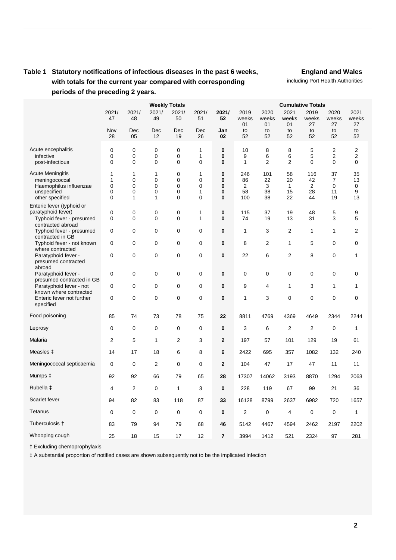# **Table 1 Statutory notifications of infectious diseases in the past 6 weeks, with totals for the current year compared with corresponding periods of the preceding 2 years.**

**England and Wales**

including Port Health Authorities

|                                                                                                      | 2021/                                               | <b>Weekly Totals</b><br>2021/<br>2021/<br>2021/<br>2021/ |                                         |                              |                                        | <b>Cumulative Totals</b><br>2021/<br>2019<br>2020<br>2021<br>2019<br>2020<br>2021 |                             |                            |                                      |                            |                                       |                          |
|------------------------------------------------------------------------------------------------------|-----------------------------------------------------|----------------------------------------------------------|-----------------------------------------|------------------------------|----------------------------------------|-----------------------------------------------------------------------------------|-----------------------------|----------------------------|--------------------------------------|----------------------------|---------------------------------------|--------------------------|
|                                                                                                      | 47                                                  | 48                                                       | 49                                      | 50                           | 51                                     | 52                                                                                | weeks<br>01                 | weeks<br>01                | weeks<br>01                          | weeks<br>27                | weeks<br>27                           | weeks<br>27              |
|                                                                                                      | Nov<br>28                                           | Dec<br>05                                                | Dec<br>12                               | Dec<br>19                    | Dec<br>26                              | Jan<br>02                                                                         | to<br>52                    | to<br>52                   | to<br>52                             | to<br>52                   | to<br>52                              | to<br>52                 |
| Acute encephalitis<br>infective<br>post-infectious                                                   | $\mathbf 0$<br>$\mathbf 0$<br>0                     | $\mathbf 0$<br>$\mathbf 0$<br>$\mathbf 0$                | 0<br>0<br>0                             | 0<br>0<br>0                  | 1<br>1<br>0                            | $\bf{0}$<br>$\bf{0}$<br>$\bf{0}$                                                  | 10<br>9<br>1                | 8<br>6<br>$\overline{2}$   | 8<br>6<br>2                          | 5<br>5<br>$\mathbf 0$      | $\overline{2}$<br>$\overline{2}$<br>0 | 2<br>2<br>0              |
| <b>Acute Meningitis</b><br>meningococcal<br>Haemophilus influenzae<br>unspecified<br>other specified | 1<br>1<br>$\mathbf 0$<br>$\mathbf 0$<br>$\mathbf 0$ | 1<br>$\Omega$<br>$\mathbf 0$<br>$\mathbf 0$<br>1         | 1<br>$\Omega$<br>0<br>0<br>$\mathbf{1}$ | 0<br>$\Omega$<br>0<br>0<br>0 | 1<br>$\Omega$<br>0<br>1<br>$\mathbf 0$ | $\bf{0}$<br>$\bf{0}$<br>$\bf{0}$<br>$\bf{0}$<br>$\bf{0}$                          | 246<br>86<br>2<br>58<br>100 | 101<br>22<br>3<br>38<br>38 | 58<br>20<br>$\mathbf{1}$<br>15<br>22 | 116<br>42<br>2<br>28<br>44 | 37<br>$\overline{7}$<br>0<br>11<br>19 | 35<br>13<br>0<br>9<br>13 |
| Enteric fever (typhoid or<br>paratyphoid fever)<br>Typhoid fever - presumed<br>contracted abroad     | $\mathbf 0$<br>$\Omega$                             | 0<br>$\Omega$                                            | 0<br>0                                  | 0<br>$\Omega$                | 1<br>1                                 | $\bf{0}$<br>$\bf{0}$                                                              | 115<br>74                   | 37<br>19                   | 19<br>13                             | 48<br>31                   | 5<br>3                                | 9<br>5                   |
| Typhoid fever - presumed<br>contracted in GB                                                         | 0                                                   | $\Omega$                                                 | 0                                       | 0                            | $\mathbf 0$                            | $\bf{0}$                                                                          | 1                           | 3                          | $\overline{2}$                       | $\mathbf{1}$               | 1                                     | $\overline{2}$           |
| Typhoid fever - not known                                                                            | 0                                                   | 0                                                        | 0                                       | 0                            | 0                                      | 0                                                                                 | 8                           | 2                          | 1                                    | 5                          | 0                                     | 0                        |
| where contracted<br>Paratyphoid fever -<br>presumed contracted                                       | $\mathbf 0$                                         | $\mathbf 0$                                              | 0                                       | 0                            | 0                                      | 0                                                                                 | 22                          | 6                          | 2                                    | 8                          | 0                                     | 1                        |
| abroad<br>Paratyphoid fever -                                                                        | $\mathbf 0$                                         | $\mathbf 0$                                              | 0                                       | 0                            | $\mathbf 0$                            | $\bf{0}$                                                                          | $\mathbf 0$                 | 0                          | 0                                    | $\mathbf 0$                | 0                                     | 0                        |
| presumed contracted in GB<br>Paratyphoid fever - not                                                 | $\mathbf 0$                                         | $\mathbf 0$                                              | 0                                       | 0                            | $\mathbf 0$                            | $\bf{0}$                                                                          | 9                           | 4                          | 1                                    | 3                          | 1                                     | 1                        |
| known where contracted<br>Enteric fever not further<br>specified                                     | $\mathbf 0$                                         | $\mathbf 0$                                              | 0                                       | 0                            | $\mathbf 0$                            | $\bf{0}$                                                                          | 1                           | 3                          | 0                                    | 0                          | 0                                     | 0                        |
| Food poisoning                                                                                       | 85                                                  | 74                                                       | 73                                      | 78                           | 75                                     | 22                                                                                | 8811                        | 4769                       | 4369                                 | 4649                       | 2344                                  | 2244                     |
| Leprosy                                                                                              | $\mathbf 0$                                         | $\mathbf 0$                                              | 0                                       | 0                            | $\mathbf 0$                            | $\bf{0}$                                                                          | 3                           | 6                          | $\overline{2}$                       | $\overline{2}$             | $\mathbf 0$                           | $\mathbf{1}$             |
| Malaria                                                                                              | $\overline{2}$                                      | 5                                                        | $\mathbf{1}$                            | $\overline{2}$               | 3                                      | $\mathbf{2}$                                                                      | 197                         | 57                         | 101                                  | 129                        | 19                                    | 61                       |
| Measles ‡                                                                                            | 14                                                  | 17                                                       | 18                                      | 6                            | 8                                      | 6                                                                                 | 2422                        | 695                        | 357                                  | 1082                       | 132                                   | 240                      |
| Meningococcal septicaemia                                                                            | 0                                                   | 0                                                        | 2                                       | 0                            | 0                                      | $\mathbf{2}$                                                                      | 104                         | 47                         | 17                                   | 47                         | 11                                    | 11                       |
| Mumps $\ddagger$                                                                                     | 92                                                  | 92                                                       | 66                                      | 79                           | 65                                     | 28                                                                                | 17307                       | 14062                      | 3193                                 | 8870                       | 1294                                  | 2063                     |
| Rubella ‡                                                                                            | 4                                                   | 2                                                        | 0                                       | 1                            | 3                                      | 0                                                                                 | 228                         | 119                        | 67                                   | 99                         | 21                                    | 36                       |
| Scarlet fever                                                                                        | 94                                                  | 82                                                       | 83                                      | 118                          | 87                                     | 33                                                                                | 16128                       | 8799                       | 2637                                 | 6982                       | 720                                   | 1657                     |
| Tetanus                                                                                              | $\mathbf 0$                                         | $\mathbf 0$                                              | 0                                       | $\mathbf 0$                  | $\mathbf 0$                            | $\bf{0}$                                                                          | $\overline{2}$              | 0                          | 4                                    | $\mathbf 0$                | $\mathbf 0$                           | $\mathbf{1}$             |
| Tuberculosis †                                                                                       | 83                                                  | 79                                                       | 94                                      | 79                           | 68                                     | 46                                                                                | 5142                        | 4467                       | 4594                                 | 2462                       | 2197                                  | 2202                     |
| Whooping cough                                                                                       | 25                                                  | 18                                                       | 15                                      | 17                           | 12                                     | $\overline{7}$                                                                    | 3994                        | 1412                       | 521                                  | 2324                       | 97                                    | 281                      |

† Excluding chemoprophylaxis

‡ A substantial proportion of notified cases are shown subsequently not to be the implicated infection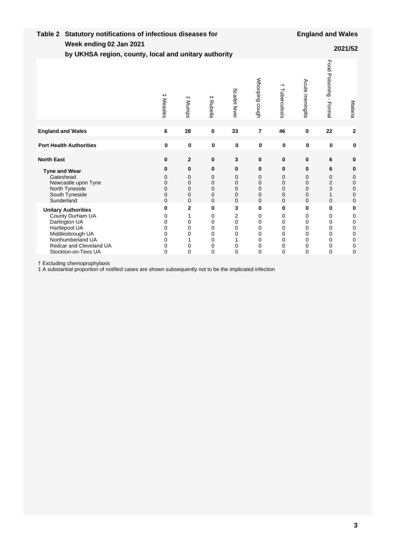| Week ending 02 Jan 2021<br>by UKHSA region, county, local and unitary authority                                                                                             |                                                             |                                                    |                                         |                                                             |                                                 |                                                                                  |                                                 |                                         | 2021/52                                                                    |
|-----------------------------------------------------------------------------------------------------------------------------------------------------------------------------|-------------------------------------------------------------|----------------------------------------------------|-----------------------------------------|-------------------------------------------------------------|-------------------------------------------------|----------------------------------------------------------------------------------|-------------------------------------------------|-----------------------------------------|----------------------------------------------------------------------------|
|                                                                                                                                                                             | $^+$<br>Measles                                             | $^+$<br><b>Mumps</b>                               | $+$<br>Rubella                          | Scarlet fever                                               | Whooping cough                                  | →<br>Tuberculosis                                                                | Acute meningitis                                | Food<br>Poisoning-<br>Formal            | Malaria                                                                    |
| <b>England and Wales</b>                                                                                                                                                    | 6                                                           | 28                                                 | 0                                       | 33                                                          | $\overline{7}$                                  | 46                                                                               | 0                                               | 22                                      | $\mathbf 2$                                                                |
| <b>Port Health Authorities</b>                                                                                                                                              | $\mathbf 0$                                                 | $\mathbf 0$                                        | 0                                       | $\mathbf 0$                                                 | $\mathbf 0$                                     | 0                                                                                | $\mathbf 0$                                     | 0                                       | $\mathbf 0$                                                                |
| <b>North East</b>                                                                                                                                                           | 0                                                           | $\mathbf{2}$                                       | 0                                       | 3                                                           | 0                                               | $\pmb{0}$                                                                        | 0                                               | 6                                       | 0                                                                          |
| <b>Tyne and Wear</b><br>Gateshead<br>Newcastle upon Tyne<br>North Tyneside<br>South Tyneside<br>Sunderland                                                                  | 0<br>0<br>0<br>$\mathbf 0$<br>0<br>$\overline{0}$           | $\bf{0}$<br>0<br>0<br>$\mathbf 0$<br>0<br>$\Omega$ | 0<br>0<br>0<br>0<br>0<br>$\overline{0}$ | 0<br>0<br>$\mathbf 0$<br>$\mathbf 0$<br>0<br>$\overline{0}$ | 0<br>0<br>0<br>0<br>0<br>0                      | $\mathbf 0$<br>$\mathbf 0$<br>$\mathbf 0$<br>0<br>0<br>$\Omega$                  | 0<br>0<br>0<br>0<br>0<br>$\Omega$               | 6<br>0<br>$\overline{2}$<br>3<br>1<br>0 | $\bf{0}$<br>0<br>$\mathbf 0$<br>$\pmb{0}$<br>$\mathbf 0$<br>$\overline{0}$ |
| <b>Unitary Authorities</b><br>County Durham UA<br>Darlington UA<br>Hartlepool UA<br>Middlesbrough UA<br>Northumberland UA<br>Redcar and Cleveland UA<br>Stockton-on-Tees UA | 0<br>$\mathbf 0$<br>0<br>0<br>0<br>0<br>0<br>$\overline{0}$ | 2<br>0<br>0<br>0<br>0<br>$\mathbf{0}$              | 0<br>0<br>0<br>0<br>0<br>0<br>0<br>0    | 3<br>2<br>0<br>0<br>0<br>0<br>$\overline{0}$                | 0<br>0<br>0<br>0<br>0<br>0<br>0<br>$\mathbf{0}$ | $\bf{0}$<br>0<br>$\mathbf 0$<br>$\mathbf 0$<br>0<br>$\mathbf 0$<br>0<br>$\Omega$ | 0<br>0<br>0<br>0<br>0<br>0<br>0<br>$\mathbf{0}$ | 0<br>0<br>0<br>0<br>0<br>0<br>0<br>0    | 0<br>0<br>0<br>0<br>0<br>0<br>$\mathbf 0$<br>$\overline{0}$                |

† Excluding chemoprophylaxis

‡ A substantial proportion of notified cases are shown subsequently not to be the implicated infection

**Table 2 Statutory notifications of infectious diseases for**

**England and Wales**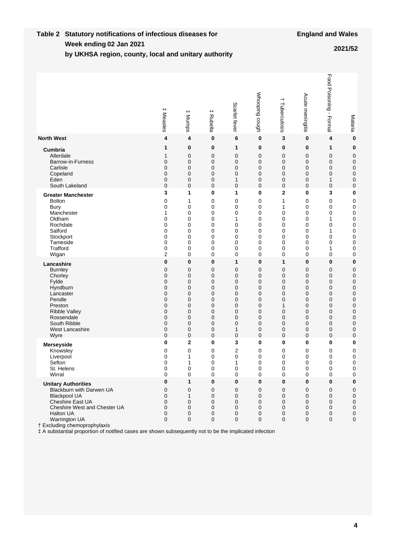#### **Week ending Table 2 Statutory notifications of infectious diseases for by UKHSA region, county, local and unitary authority 02 Jan 2021 2021/52**

|                                                                                                                                                                                                                                                                                                                  | <b>‡</b> Measles                | $^{\rm +}$<br>Mumps                                   | $^+$<br>Rubella                 | Scarlet fever                   | Whooping cough                  | $\,$<br>Tuberculosis                                                  | Acute meningitis                           | Food Poisoning - Formal                                       | Malaria                                         |
|------------------------------------------------------------------------------------------------------------------------------------------------------------------------------------------------------------------------------------------------------------------------------------------------------------------|---------------------------------|-------------------------------------------------------|---------------------------------|---------------------------------|---------------------------------|-----------------------------------------------------------------------|--------------------------------------------|---------------------------------------------------------------|-------------------------------------------------|
| <b>North West</b>                                                                                                                                                                                                                                                                                                | 4                               | 4                                                     | 0                               | 6                               | 0                               | 3                                                                     | 0                                          | 4                                                             | $\bf{0}$                                        |
| Cumbria                                                                                                                                                                                                                                                                                                          | 1                               | 0                                                     | 0                               | 1                               | 0                               | $\bf{0}$                                                              | 0                                          | 1                                                             | $\bf{0}$                                        |
| Allerdale                                                                                                                                                                                                                                                                                                        | 1                               | 0                                                     | 0                               | 0                               | 0                               | 0                                                                     | $\mathbf 0$                                | $\mathbf 0$                                                   | $\mathbf 0$                                     |
| Barrow-in-Furness                                                                                                                                                                                                                                                                                                | 0                               | $\mathbf 0$                                           | 0                               | 0                               | 0                               | 0                                                                     | 0                                          | $\mathbf 0$                                                   | $\mathbf 0$                                     |
| Carlisle                                                                                                                                                                                                                                                                                                         | 0                               | 0                                                     | 0                               | 0                               | 0                               | 0                                                                     | $\mathbf 0$                                | $\mathbf 0$                                                   | $\mathbf 0$                                     |
| Copeland                                                                                                                                                                                                                                                                                                         | 0                               | $\mathbf 0$                                           | 0                               | 0                               | 0                               | 0                                                                     | $\mathbf 0$                                | $\mathbf 0$                                                   | $\mathbf 0$                                     |
| Eden                                                                                                                                                                                                                                                                                                             | 0                               | 0                                                     | 0                               | 1                               | 0                               | 0                                                                     | $\mathbf 0$                                | 1                                                             | $\mathbf 0$                                     |
| South Lakeland                                                                                                                                                                                                                                                                                                   | 0                               | $\mathbf 0$                                           | 0                               | 0                               | 0                               | $\mathbf{0}$                                                          | $\mathbf 0$                                | $\mathbf 0$                                                   | $\mathbf 0$                                     |
| <b>Greater Manchester</b>                                                                                                                                                                                                                                                                                        | 3                               | 1                                                     | 0                               | 1                               | 0                               | 2                                                                     | 0                                          | 3                                                             | $\bf{0}$                                        |
| <b>Bolton</b>                                                                                                                                                                                                                                                                                                    | 0                               | 1                                                     | 0                               | 0                               | 0                               | 1                                                                     | 0                                          | 0                                                             | $\mathbf 0$                                     |
| Bury                                                                                                                                                                                                                                                                                                             | 0                               | 0                                                     | 0                               | 0                               | 0                               | 1                                                                     | $\mathbf 0$                                | 0                                                             | 0                                               |
| Manchester                                                                                                                                                                                                                                                                                                       | 1                               | 0                                                     | 0                               | 0                               | 0                               | $\mathbf 0$                                                           | $\mathbf 0$                                | 0                                                             | 0                                               |
| Oldham                                                                                                                                                                                                                                                                                                           | 0                               | 0                                                     | 0                               | 1                               | 0                               | 0                                                                     | $\mathbf 0$                                | 1                                                             | $\pmb{0}$                                       |
| Rochdale                                                                                                                                                                                                                                                                                                         | 0                               | 0                                                     | 0                               | 0                               | 0                               | 0                                                                     | $\mathbf 0$                                | 0                                                             | $\pmb{0}$                                       |
| Salford                                                                                                                                                                                                                                                                                                          | 0                               | 0                                                     | 0                               | 0                               | 0                               | 0                                                                     | $\mathbf 0$                                | 1                                                             | $\mathbf 0$                                     |
| Stockport                                                                                                                                                                                                                                                                                                        | 0                               | 0                                                     | 0                               | 0                               | 0                               | 0                                                                     | $\mathbf 0$                                | $\mathbf 0$                                                   | $\mathbf 0$                                     |
| Tameside                                                                                                                                                                                                                                                                                                         | 0                               | 0                                                     | 0                               | 0                               | 0                               | 0                                                                     | $\mathbf 0$                                | 0                                                             | $\mathbf 0$                                     |
| Trafford                                                                                                                                                                                                                                                                                                         | 0                               | 0                                                     | 0                               | 0                               | 0                               | 0                                                                     | 0                                          | 1                                                             | $\mathbf 0$                                     |
| Wigan                                                                                                                                                                                                                                                                                                            | 2                               | 0                                                     | 0                               | 0                               | 0                               | 0                                                                     | $\mathbf 0$                                | 0                                                             | $\mathbf 0$                                     |
| Lancashire                                                                                                                                                                                                                                                                                                       | 0                               | 0                                                     | 0                               | 1                               | 0                               | 1                                                                     | 0                                          | $\bf{0}$                                                      | $\bf{0}$                                        |
| <b>Burnley</b>                                                                                                                                                                                                                                                                                                   | 0                               | 0                                                     | 0                               | 0                               | 0                               | 0                                                                     | 0                                          | $\mathbf 0$                                                   | $\mathbf 0$                                     |
| Chorley                                                                                                                                                                                                                                                                                                          | 0                               | 0                                                     | 0                               | 0                               | 0                               | 0                                                                     | $\mathbf 0$                                | 0                                                             | $\pmb{0}$                                       |
| Fylde                                                                                                                                                                                                                                                                                                            | 0                               | 0                                                     | 0                               | 0                               | 0                               | 0                                                                     | 0                                          | $\mathbf 0$                                                   | $\mathbf 0$                                     |
| Hyndburn                                                                                                                                                                                                                                                                                                         | 0                               | 0                                                     | 0                               | 0                               | 0                               | 0                                                                     | $\mathbf 0$                                | 0                                                             | $\mathbf 0$                                     |
| Lancaster                                                                                                                                                                                                                                                                                                        | 0                               | 0                                                     | 0                               | 0                               | 0                               | 0                                                                     | 0                                          | 0                                                             | $\mathbf 0$                                     |
| Pendle                                                                                                                                                                                                                                                                                                           | 0                               | 0                                                     | 0                               | 0                               | 0                               | 0                                                                     | $\mathbf 0$                                | 0                                                             | $\mathbf 0$                                     |
| Preston                                                                                                                                                                                                                                                                                                          | 0                               | $\mathbf 0$                                           | 0                               | 0                               | 0                               | 1                                                                     | $\mathbf 0$                                | $\mathbf 0$                                                   | $\mathbf 0$                                     |
| <b>Ribble Valley</b>                                                                                                                                                                                                                                                                                             | 0                               | 0                                                     | 0                               | 0                               | 0                               | 0                                                                     | $\mathbf 0$                                | $\mathbf 0$                                                   | $\mathbf 0$                                     |
| Rossendale                                                                                                                                                                                                                                                                                                       | 0                               | 0                                                     | 0                               | 0                               | 0                               | 0                                                                     | $\mathbf 0$                                | 0                                                             | $\mathbf 0$                                     |
| South Ribble                                                                                                                                                                                                                                                                                                     | 0                               | 0                                                     | 0                               | 0                               | 0                               | 0                                                                     | $\mathbf 0$                                | $\mathbf 0$                                                   | $\mathbf 0$                                     |
| <b>West Lancashire</b>                                                                                                                                                                                                                                                                                           | 0                               | 0                                                     | 0                               | 1                               | 0                               | 0                                                                     | 0                                          | $\mathbf 0$                                                   | 0                                               |
| Wyre                                                                                                                                                                                                                                                                                                             | 0                               | 0                                                     | 0                               | 0                               | 0                               | $\mathbf{0}$                                                          | $\mathbf 0$                                | $\mathbf 0$                                                   | $\mathbf 0$                                     |
| <b>Merseyside</b>                                                                                                                                                                                                                                                                                                | 0                               | $\mathbf 2$                                           | 0                               | 3                               | 0                               | 0                                                                     | $\bf{0}$                                   | 0                                                             | 0                                               |
| Knowsley                                                                                                                                                                                                                                                                                                         | 0                               | 0                                                     | 0                               | 2                               | 0                               | 0                                                                     | 0                                          | 0                                                             | 0                                               |
| Liverpool                                                                                                                                                                                                                                                                                                        | 0                               | 1                                                     | 0                               | 0                               | 0                               | 0                                                                     | 0                                          | 0                                                             | 0                                               |
| Sefton                                                                                                                                                                                                                                                                                                           | 0                               | 1                                                     | 0                               | 1                               | 0                               | 0                                                                     | 0                                          | 0                                                             | $\mathbf 0$                                     |
| St. Helens                                                                                                                                                                                                                                                                                                       | 0                               | $\Omega$                                              | 0                               | 0                               | 0                               | 0                                                                     | $\Omega$                                   | $\Omega$                                                      | 0                                               |
| Wirral                                                                                                                                                                                                                                                                                                           | 0                               | 0                                                     | 0                               | $\boldsymbol{0}$                | 0                               | $\mathbf 0$                                                           | 0                                          | $\pmb{0}$                                                     | $\pmb{0}$                                       |
| <b>Unitary Authorities</b><br>Blackburn with Darwen UA<br><b>Blackpool UA</b><br>Cheshire East UA<br>Cheshire West and Chester UA<br><b>Halton UA</b><br>Warrington UA<br>† Excluding chemoprophylaxis<br># A substantial proportion of notified cases are shown subsequently not to be the implicated infection | 0<br>0<br>0<br>0<br>0<br>0<br>0 | $\mathbf{1}$<br>0<br>$\mathbf{1}$<br>0<br>0<br>0<br>0 | 0<br>0<br>0<br>0<br>0<br>0<br>0 | 0<br>0<br>0<br>0<br>0<br>0<br>0 | 0<br>0<br>0<br>0<br>0<br>0<br>0 | $\bf{0}$<br>$\mathbf 0$<br>0<br>0<br>$\mathbf 0$<br>0<br>$\mathbf{0}$ | 0<br>0<br>0<br>0<br>0<br>0<br>$\mathbf{0}$ | $\mathbf 0$<br>$\mathbf 0$<br>0<br>0<br>0<br>0<br>$\mathbf 0$ | 0<br>0<br>$\pmb{0}$<br>0<br>0<br>0<br>$\pmb{0}$ |

prexcluding chemoprophylaxis<br>
‡ A substantial proportion of notified cases are shown subsequently not to be the implicated infection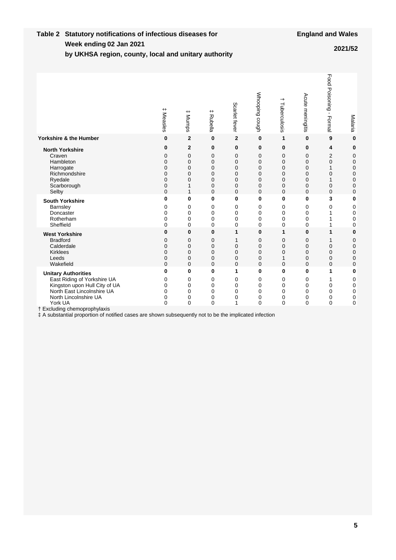#### **Week ending Table 2 Statutory notifications of infectious diseases for by UKHSA region, county, local and unitary authority 02 Jan 2021 2021/52**

|                                                                                                                                                                                              | $^+$<br>Measles                      | $^{\rm +}$<br>Mumps                                       | $^+$<br>Rubella                      | Scarlet fever                                                | Whooping cough                                           | +<br>Tuberculosis                                            | Acute meningitis                                   | Food Poisoning -<br>Formal                               | Malaria                                        |
|----------------------------------------------------------------------------------------------------------------------------------------------------------------------------------------------|--------------------------------------|-----------------------------------------------------------|--------------------------------------|--------------------------------------------------------------|----------------------------------------------------------|--------------------------------------------------------------|----------------------------------------------------|----------------------------------------------------------|------------------------------------------------|
| <b>Yorkshire &amp; the Humber</b>                                                                                                                                                            | 0                                    | $\mathbf{2}$                                              | $\bf{0}$                             | $\mathbf 2$                                                  | $\bf{0}$                                                 | 1                                                            | $\bf{0}$                                           | 9                                                        | $\bf{0}$                                       |
| <b>North Yorkshire</b><br>Craven<br>Hambleton<br>Harrogate<br>Richmondshire<br>Ryedale<br>Scarborough<br>Selby                                                                               | 0<br>0<br>0<br>0<br>0<br>0<br>0<br>0 | $\mathbf{2}$<br>0<br>$\mathbf 0$<br>0<br>0<br>0<br>1<br>1 | 0<br>0<br>0<br>0<br>0<br>0<br>0<br>0 | $\bf{0}$<br>0<br>$\mathbf 0$<br>0<br>0<br>0<br>0<br>$\Omega$ | 0<br>0<br>$\mathbf 0$<br>0<br>0<br>$\mathbf 0$<br>0<br>0 | 0<br>0<br>0<br>0<br>0<br>$\mathbf 0$<br>0<br>$\Omega$        | $\bf{0}$<br>0<br>0<br>0<br>0<br>0<br>0<br>$\Omega$ | 4<br>2<br>$\mathbf 0$<br>1<br>0<br>1<br>0<br>$\mathbf 0$ | 0<br>0<br>0<br>$\mathbf 0$<br>0<br>0<br>0<br>0 |
| <b>South Yorkshire</b><br>Barnsley<br>Doncaster<br>Rotherham<br>Sheffield                                                                                                                    | 0<br>0<br>0<br>0<br>0                | 0<br>0<br>0<br>0<br>$\mathbf{0}$                          | 0<br>0<br>0<br>0<br>0                | $\bf{0}$<br>0<br>0<br>0<br>0                                 | 0<br>0<br>0<br>0<br>0                                    | $\bf{0}$<br>0<br>0<br>0<br>$\mathbf{0}$                      | $\bf{0}$<br>0<br>0<br>0<br>$\mathbf 0$             | 3<br>0<br>1<br>1<br>1                                    | $\bf{0}$<br>0<br>0<br>0<br>0                   |
| <b>West Yorkshire</b><br><b>Bradford</b><br>Calderdale<br><b>Kirklees</b><br>Leeds<br>Wakefield                                                                                              | 0<br>0<br>0<br>0<br>0<br>0           | 0<br>$\Omega$<br>$\mathbf 0$<br>0<br>0<br>$\Omega$        | 0<br>0<br>0<br>0<br>0<br>0           | 1<br>1<br>$\mathbf 0$<br>0<br>0<br>$\mathbf 0$               | 0<br>0<br>0<br>0<br>0<br>0                               | 1<br>$\Omega$<br>$\mathbf 0$<br>$\mathbf 0$<br>1<br>$\Omega$ | 0<br>0<br>$\mathbf 0$<br>0<br>0<br>0               | 1<br>1<br>$\mathbf 0$<br>0<br>0<br>$\mathbf 0$           | $\bf{0}$<br>0<br>$\mathbf 0$<br>0<br>0<br>0    |
| <b>Unitary Authorities</b><br>East Riding of Yorkshire UA<br>Kingston upon Hull City of UA<br>North East Lincolnshire UA<br>North Lincolnshire UA<br>York UA<br>† Excluding chemoprophylaxis | 0<br>0<br>$\mathbf 0$<br>0<br>0<br>0 | 0<br>0<br>0<br>0<br>0<br>$\Omega$                         | 0<br>0<br>0<br>0<br>0<br>0           | 1<br>0<br>0<br>0<br>0<br>1                                   | 0<br>0<br>0<br>0<br>0<br>$\mathbf 0$                     | 0<br>0<br>0<br>0<br>0<br>$\overline{0}$                      | 0<br>0<br>0<br>0<br>0<br>$\mathbf 0$               | 1<br>1<br>0<br>0<br>0<br>$\mathbf 0$                     | 0<br>0<br>0<br>0<br>0<br>$\mathbf 0$           |
| # A substantial proportion of notified cases are shown subsequently not to be the implicated infection                                                                                       |                                      |                                                           |                                      |                                                              |                                                          |                                                              |                                                    |                                                          |                                                |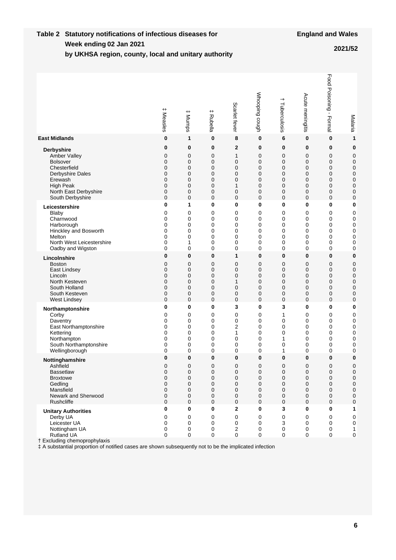#### **Week ending Table 2 Statutory notifications of infectious diseases for 02 Jan 2021 2021/52**

| by UKHSA region, county, local and unitary authority |  |  |  |  |
|------------------------------------------------------|--|--|--|--|
|                                                      |  |  |  |  |
|                                                      |  |  |  |  |

|                                                                                                                                                                                                                                 | $^{\rm +}$<br>Measles | $^+$<br>Mumps         | $^{\rm +}$<br>Rubella           | Scarlet fever                   | Whooping cough                | $^+$<br>Tuberculosis  | Acute meningitis                | Food Poisoning -<br>Formal | Malaria                                                    |
|---------------------------------------------------------------------------------------------------------------------------------------------------------------------------------------------------------------------------------|-----------------------|-----------------------|---------------------------------|---------------------------------|-------------------------------|-----------------------|---------------------------------|----------------------------|------------------------------------------------------------|
| <b>East Midlands</b>                                                                                                                                                                                                            | 0                     | 1                     | 0                               | 8                               | $\bf{0}$                      | 6                     | 0                               | 0                          | 1                                                          |
| <b>Derbyshire</b>                                                                                                                                                                                                               | 0                     | 0                     | 0                               | 2                               | 0                             | 0                     | 0                               | 0                          | 0                                                          |
| Amber Valley                                                                                                                                                                                                                    | 0                     | 0                     | 0                               | 1                               | 0                             | 0                     | 0                               | 0                          | $\pmb{0}$                                                  |
| <b>Bolsover</b>                                                                                                                                                                                                                 | 0                     | $\mathbf 0$           | 0                               | 0                               | 0                             | 0                     | 0                               | 0                          | 0                                                          |
| Chesterfield                                                                                                                                                                                                                    | 0                     | $\mathbf 0$           | 0                               | 0                               | 0                             | 0                     | 0                               | 0                          | $\pmb{0}$                                                  |
| Derbyshire Dales                                                                                                                                                                                                                | 0                     | 0                     | 0                               | 0                               | 0                             | 0                     | 0                               | $\mathbf 0$                | $\mathbf 0$                                                |
| Erewash                                                                                                                                                                                                                         | 0                     | 0                     | 0                               | 0                               | 0                             | 0                     | 0                               | 0                          | $\mathbf 0$                                                |
| <b>High Peak</b>                                                                                                                                                                                                                | 0                     | $\mathbf 0$           | 0                               | 1                               | 0                             | 0                     | 0                               | $\mathbf 0$                | 0                                                          |
| North East Derbyshire                                                                                                                                                                                                           | 0                     | $\mathbf 0$           | 0                               | 0                               | 0                             | 0                     | 0                               | 0                          | 0                                                          |
| South Derbyshire                                                                                                                                                                                                                | 0                     | 0                     | 0                               | 0                               | 0                             | 0                     | 0                               | $\mathbf 0$                | 0                                                          |
| Leicestershire                                                                                                                                                                                                                  | 0                     | 1                     | 0                               | $\bf{0}$                        | 0                             | 0                     | 0                               | 0                          | 0                                                          |
| Blaby                                                                                                                                                                                                                           | 0                     | 0                     | 0                               | 0                               | 0                             | 0                     | 0                               | 0                          | 0                                                          |
| Charnwood                                                                                                                                                                                                                       | 0                     | 0                     | 0                               | 0                               | $\mathbf 0$                   | 0                     | 0                               | 0                          | 0                                                          |
| Harborough                                                                                                                                                                                                                      | 0                     | 0                     | 0                               | 0                               | 0                             | 0                     | 0                               | 0                          | $\mathbf 0$                                                |
| Hinckley and Bosworth                                                                                                                                                                                                           | 0                     | 0                     | 0                               | 0                               | 0                             | 0                     | 0                               | 0                          | 0                                                          |
| Melton                                                                                                                                                                                                                          | 0                     | 0                     | 0                               | 0                               | 0                             | 0                     | 0                               | 0                          | 0                                                          |
| North West Leicestershire                                                                                                                                                                                                       | 0                     | 1                     | 0                               | 0                               | 0                             | 0                     | 0                               | 0                          | 0                                                          |
| Oadby and Wigston                                                                                                                                                                                                               | 0                     | 0                     | 0                               | 0                               | 0                             | 0                     | 0                               | 0                          | 0                                                          |
| Lincolnshire                                                                                                                                                                                                                    | 0                     | 0                     | $\bf{0}$                        | 1                               | $\bf{0}$                      | 0                     | 0                               | 0                          | $\bf{0}$                                                   |
| <b>Boston</b>                                                                                                                                                                                                                   | 0                     | $\mathbf 0$           | 0                               | $\mathbf 0$                     | 0                             | $\mathbf 0$           | 0                               | 0                          | $\mathbf 0$                                                |
| East Lindsey                                                                                                                                                                                                                    | 0                     | $\mathbf 0$           | 0                               | $\mathbf 0$                     | 0                             | $\mathbf 0$           | 0                               | $\mathbf 0$                | $\mathbf 0$                                                |
| Lincoln                                                                                                                                                                                                                         | 0                     | $\mathbf 0$           | 0                               | $\mathbf 0$                     | 0                             | $\mathbf 0$           | 0                               | $\mathbf 0$                | $\mathbf 0$                                                |
| North Kesteven                                                                                                                                                                                                                  | 0                     | $\mathbf 0$           | 0                               | 1                               | 0                             | $\mathbf 0$           | 0                               | $\mathbf 0$                | $\pmb{0}$                                                  |
| South Holland                                                                                                                                                                                                                   | 0                     | $\mathbf 0$           | 0                               | $\mathbf 0$                     | 0                             | $\mathbf 0$           | 0                               | $\mathbf 0$                | $\mathbf 0$                                                |
| South Kesteven                                                                                                                                                                                                                  | 0                     | 0                     | 0                               | 0                               | 0                             | 0                     | 0                               | 0                          | 0                                                          |
| West Lindsey                                                                                                                                                                                                                    | 0                     | $\mathbf 0$           | 0                               | $\mathbf 0$                     | 0                             | $\mathbf 0$           | 0                               | 0                          | 0                                                          |
| Northamptonshire                                                                                                                                                                                                                | 0                     | 0                     | 0                               | 3                               | 0                             | 3                     | 0                               | 0                          | 0                                                          |
| Corby                                                                                                                                                                                                                           | 0                     | 0                     | 0                               | 0                               | 0                             | 1                     | 0                               | 0                          | 0                                                          |
| Daventry                                                                                                                                                                                                                        | 0                     | 0                     | 0                               | 0                               | 0                             | 0                     | 0                               | 0                          | 0                                                          |
| East Northamptonshire                                                                                                                                                                                                           | 0                     | 0                     | 0                               | 2                               | 0                             | 0                     | 0                               | 0                          | $\pmb{0}$                                                  |
| Kettering                                                                                                                                                                                                                       | 0                     | 0                     | 0                               | 1                               | 0                             | 0                     | 0                               | 0                          | 0                                                          |
| Northampton                                                                                                                                                                                                                     | 0                     | 0                     | 0                               | 0                               | 0                             | 1                     | 0                               | 0                          | 0                                                          |
| South Northamptonshire                                                                                                                                                                                                          | 0                     | 0                     | 0                               | 0                               | 0                             | 0                     | 0                               | 0                          | 0                                                          |
| Wellingborough                                                                                                                                                                                                                  | 0                     | 0                     | 0                               | 0                               | 0                             | 1                     | 0                               | 0                          | 0                                                          |
| Nottinghamshire                                                                                                                                                                                                                 | 0                     | 0                     | 0                               | $\bf{0}$                        | $\bf{0}$                      | 0                     | 0                               | 0                          | 0                                                          |
| Ashfield                                                                                                                                                                                                                        | 0                     | 0                     | 0                               | 0                               | 0                             | 0                     | 0                               | 0                          | 0                                                          |
| <b>Bassetlaw</b>                                                                                                                                                                                                                | 0                     | 0                     | 0                               | 0                               | 0                             | 0                     | 0                               | 0                          | 0                                                          |
| <b>Broxtowe</b>                                                                                                                                                                                                                 | 0                     | 0                     | 0                               | 0                               | $\mathbf 0$                   | 0                     | $\mathbf 0$                     | 0                          | $\pmb{0}$                                                  |
| Gedling                                                                                                                                                                                                                         | 0                     | 0                     | 0                               | 0                               | 0                             | 0                     | 0                               | 0                          | $\mathbf 0$                                                |
| Mansfield                                                                                                                                                                                                                       | 0                     | $\mathbf 0$           | 0                               | 0                               | 0                             | 0                     | 0                               | 0                          | $\pmb{0}$                                                  |
| Newark and Sherwood                                                                                                                                                                                                             | 0                     | 0                     | 0                               | 0                               | 0                             | 0                     | 0                               | 0                          | $\mathbf 0$                                                |
| Rushcliffe                                                                                                                                                                                                                      | 0                     | $\mathbf 0$           | $\mathbf 0$                     | 0                               | 0                             | 0                     | 0                               | 0                          | $\mathbf 0$                                                |
| <b>Unitary Authorities</b><br>Derby UA<br>Leicester UA<br>Nottingham UA<br>Rutland UA<br>† Excluding chemoprophylaxis<br># A substantial proportion of notified cases are shown subsequently not to be the implicated infection | 0<br>0<br>0<br>0<br>0 | 0<br>0<br>0<br>0<br>0 | 0<br>0<br>0<br>0<br>$\mathbf 0$ | $\mathbf 2$<br>0<br>0<br>2<br>0 | $\pmb{0}$<br>0<br>0<br>0<br>0 | 3<br>0<br>3<br>0<br>0 | 0<br>0<br>0<br>0<br>$\mathbf 0$ | 0<br>0<br>0<br>0<br>0      | 1<br>$\pmb{0}$<br>$\pmb{0}$<br>$\mathbf{1}$<br>$\mathbf 0$ |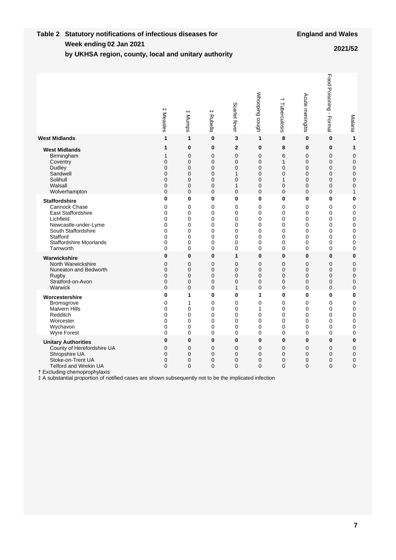#### **Week ending Table 2 Statutory notifications of infectious diseases for by UKHSA region, county, local and unitary authority 02 Jan 2021 2021/52**

|                                                                                                                                                                                                                                                                          | $^{\rm +}$<br>Measles                      | $^{\rm +}$<br>Mumps                                                   | # Rubella                           | Scarlet fever                                                  | Whooping cough                  | $\overline{\phantom{0}}$<br>Tuberculosis                | Acute meningitis             | Food Poisoning - Formal                             | Malaria                                |
|--------------------------------------------------------------------------------------------------------------------------------------------------------------------------------------------------------------------------------------------------------------------------|--------------------------------------------|-----------------------------------------------------------------------|-------------------------------------|----------------------------------------------------------------|---------------------------------|---------------------------------------------------------|------------------------------|-----------------------------------------------------|----------------------------------------|
| <b>West Midlands</b>                                                                                                                                                                                                                                                     | $\mathbf{1}$                               | $\mathbf{1}$                                                          | $\mathbf{0}$                        | 3                                                              | 1                               | 8                                                       | 0                            | $\bf{0}$                                            | 1                                      |
| <b>West Midlands</b>                                                                                                                                                                                                                                                     | $\mathbf{1}$                               | $\bf{0}$                                                              | 0                                   | $\overline{2}$                                                 | $\bf{0}$                        | 8                                                       | 0                            | $\mathbf 0$                                         | 1                                      |
| Birmingham                                                                                                                                                                                                                                                               | 1                                          | $\mathbf 0$                                                           | 0                                   | $\mathbf 0$                                                    | $\mathbf 0$                     | 6                                                       | 0                            | $\mathbf 0$                                         | 0                                      |
| Coventry                                                                                                                                                                                                                                                                 | $\mathbf 0$                                | $\overline{0}$                                                        | $\overline{0}$                      | $\mathbf 0$                                                    | $\mathbf 0$                     | $\mathbf{1}$                                            | $\overline{0}$               | $\mathbf 0$                                         | $\mathbf 0$                            |
| Dudley                                                                                                                                                                                                                                                                   | 0                                          | $\mathbf 0$                                                           | 0                                   | $\mathbf 0$                                                    | $\mathbf 0$                     | $\mathbf 0$                                             | 0                            | $\mathbf 0$                                         | 0                                      |
| Sandwell                                                                                                                                                                                                                                                                 | $\Omega$                                   | $\Omega$                                                              | 0                                   | 1                                                              | $\mathbf 0$                     | $\Omega$                                                | 0                            | $\mathbf 0$                                         | 0                                      |
| Solihull                                                                                                                                                                                                                                                                 | 0                                          | $\overline{0}$                                                        | $\overline{0}$                      | $\mathbf 0$                                                    | $\mathbf 0$                     | $\mathbf{1}$                                            | $\overline{0}$               | $\mathbf 0$                                         | $\overline{0}$                         |
| Walsall                                                                                                                                                                                                                                                                  | 0                                          | $\mathbf 0$                                                           | 0                                   | 1                                                              | 0                               | $\mathbf 0$                                             | 0                            | $\mathbf 0$                                         | 0                                      |
| Wolverhampton                                                                                                                                                                                                                                                            | $\Omega$                                   | $\Omega$                                                              | 0                                   | $\mathbf 0$                                                    | $\mathbf 0$                     | $\mathbf 0$                                             | 0                            | $\mathbf 0$                                         | 1                                      |
| <b>Staffordshire</b>                                                                                                                                                                                                                                                     | 0                                          | $\mathbf 0$                                                           | 0                                   | 0                                                              | 0                               | 0                                                       | 0                            | 0                                                   | 0                                      |
| <b>Cannock Chase</b>                                                                                                                                                                                                                                                     | 0                                          | $\mathbf 0$                                                           | 0                                   | 0                                                              | $\mathbf 0$                     | $\mathbf{0}$                                            | 0                            | 0                                                   | 0                                      |
| <b>East Staffordshire</b>                                                                                                                                                                                                                                                | 0                                          | 0                                                                     | $\mathbf 0$                         | 0                                                              | 0                               | 0                                                       | 0                            | 0                                                   | 0                                      |
| Lichfield                                                                                                                                                                                                                                                                | 0                                          | 0                                                                     | 0                                   | 0                                                              | $\mathbf 0$                     | 0                                                       | 0                            | 0                                                   | 0                                      |
| Newcastle-under-Lyme                                                                                                                                                                                                                                                     | 0                                          | 0                                                                     | 0                                   | 0                                                              | 0                               | 0                                                       | 0                            | 0                                                   | 0                                      |
| South Staffordshire                                                                                                                                                                                                                                                      | $\mathbf 0$                                | $\mathbf{0}$                                                          | 0                                   | 0                                                              | $\mathbf 0$                     | $\mathbf{0}$                                            | $\mathbf{0}$                 | 0                                                   | 0                                      |
| Stafford                                                                                                                                                                                                                                                                 | $\mathbf{0}$                               | $\Omega$                                                              | $\mathbf{0}$                        | 0                                                              | $\mathbf 0$                     | $\mathbf{0}$                                            | $\mathbf{0}$                 | 0                                                   | $\overline{0}$                         |
| <b>Staffordshire Moorlands</b>                                                                                                                                                                                                                                           | 0                                          | 0                                                                     | 0                                   | 0                                                              | $\mathbf 0$                     | 0                                                       | 0                            | 0                                                   | 0                                      |
| Tamworth                                                                                                                                                                                                                                                                 | 0                                          | $\overline{0}$                                                        | $\mathbf{0}$                        | 0                                                              | $\mathbf 0$                     | $\mathbf{0}$                                            | $\mathbf{0}$                 | 0                                                   | 0                                      |
| Warwickshire                                                                                                                                                                                                                                                             | $\bf{0}$                                   | $\mathbf{0}$                                                          | 0                                   | 1                                                              | 0                               | 0                                                       | 0                            | 0                                                   | 0                                      |
| North Warwickshire                                                                                                                                                                                                                                                       | $\overline{0}$                             | $\Omega$                                                              | 0                                   | $\mathbf 0$                                                    | 0                               | $\Omega$                                                | 0                            | $\mathbf 0$                                         | $\mathbf 0$                            |
| Nuneaton and Bedworth                                                                                                                                                                                                                                                    | 0                                          | $\mathbf 0$                                                           | 0                                   | $\mathbf 0$                                                    | $\mathbf 0$                     | $\mathbf 0$                                             | 0                            | $\mathbf 0$                                         | 0                                      |
| Rugby                                                                                                                                                                                                                                                                    | 0                                          | $\mathbf 0$                                                           | 0                                   | $\mathbf 0$                                                    | $\mathbf 0$                     | $\mathbf 0$                                             | 0                            | $\mathbf 0$                                         | 0                                      |
| Stratford-on-Avon                                                                                                                                                                                                                                                        | 0                                          | 0                                                                     | 0                                   | $\mathbf 0$                                                    | $\mathbf 0$                     | $\mathbf 0$                                             | 0                            | $\mathbf 0$                                         | 0                                      |
| Warwick                                                                                                                                                                                                                                                                  | $\Omega$                                   | $\Omega$                                                              | $\Omega$                            | 1                                                              | $\mathbf 0$                     | $\Omega$                                                | $\Omega$                     | $\Omega$                                            | 0                                      |
| Worcestershire                                                                                                                                                                                                                                                           | 0                                          | 1                                                                     | 0                                   | 0                                                              | 1                               | 0                                                       | 0                            | 0                                                   | 0                                      |
| Bromsgrove                                                                                                                                                                                                                                                               | 0                                          | $\mathbf{1}$                                                          | 0                                   | 0                                                              | 0                               | 0                                                       | 0                            | 0                                                   | 0                                      |
| <b>Malvern Hills</b>                                                                                                                                                                                                                                                     | 0                                          | 0                                                                     | 0                                   | $\mathbf 0$                                                    | 1                               | $\mathbf 0$                                             | 0                            | 0                                                   | 0                                      |
| Redditch                                                                                                                                                                                                                                                                 | 0                                          | 0                                                                     | 0                                   | 0                                                              | $\mathbf 0$                     | 0                                                       | 0                            | 0                                                   | 0                                      |
| Worcester                                                                                                                                                                                                                                                                | $\mathbf{0}$                               | $\Omega$                                                              | $\mathbf{0}$                        | $\mathbf{0}$                                                   | $\Omega$                        | $\Omega$                                                | $\mathbf{0}$                 | $\Omega$                                            | 0                                      |
| Wychavon                                                                                                                                                                                                                                                                 | 0                                          | $\Omega$                                                              | 0                                   | 0                                                              | $\mathbf 0$                     | $\Omega$                                                | 0                            | 0                                                   | 0                                      |
| Wyre Forest                                                                                                                                                                                                                                                              | 0                                          | 0                                                                     | 0                                   | 0                                                              | $\mathbf 0$                     | 0                                                       | 0                            | 0                                                   | 0                                      |
| <b>Unitary Authorities</b><br>County of Herefordshire UA<br>Shropshire UA<br>Stoke-on-Trent UA<br><b>Telford and Wrekin UA</b><br>† Excluding chemoprophylaxis<br># A substantial proportion of notified cases are shown subsequently not to be the implicated infection | $\bf{0}$<br>0<br>$\Omega$<br>0<br>$\Omega$ | $\mathbf{0}$<br>$\overline{0}$<br>$\Omega$<br>$\mathbf 0$<br>$\Omega$ | 0<br>0<br>$\Omega$<br>0<br>$\Omega$ | $\bf{0}$<br>$\mathbf 0$<br>$\Omega$<br>$\mathbf 0$<br>$\Omega$ | 0<br>0<br>0<br>$\mathbf 0$<br>0 | $\bf{0}$<br>$\overline{0}$<br>$\Omega$<br>0<br>$\Omega$ | 0<br>0<br>$\Omega$<br>0<br>0 | 0<br>$\mathbf 0$<br>$\mathbf 0$<br>0<br>$\mathbf 0$ | $\bf{0}$<br>0<br>$\mathbf 0$<br>0<br>0 |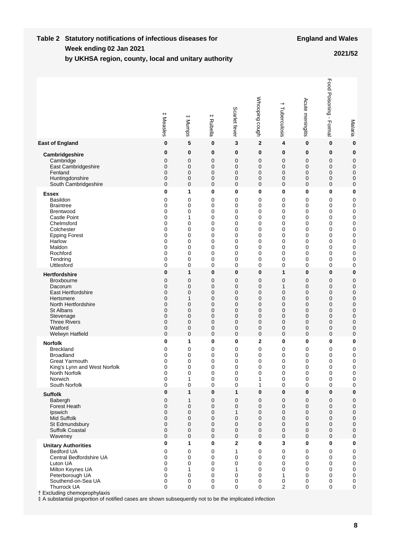#### **Week ending Table 2 Statutory notifications of infectious diseases for by UKHSA region, county, local and unitary authority 02 Jan 2021 2021/52**

|                                                                                                                                                                                                                                                                                                              | $^+$<br>Measles                      | $^{\rm +}$<br>Munps                  | $^{\rm +}$<br>Rubella                          | Scarlet fever                        | Whooping cough                       | $^+$<br>Tuberculosis                              | Acute meningitis                     | Food Poisoning -<br>Formal           | Malaria                                                                      |
|--------------------------------------------------------------------------------------------------------------------------------------------------------------------------------------------------------------------------------------------------------------------------------------------------------------|--------------------------------------|--------------------------------------|------------------------------------------------|--------------------------------------|--------------------------------------|---------------------------------------------------|--------------------------------------|--------------------------------------|------------------------------------------------------------------------------|
| <b>East of England</b>                                                                                                                                                                                                                                                                                       | 0                                    | 5                                    | 0                                              | 3                                    | $\mathbf{2}$                         | 4                                                 | 0                                    | 0                                    | $\bf{0}$                                                                     |
| Cambridgeshire                                                                                                                                                                                                                                                                                               | 0                                    | 0                                    | 0                                              | 0                                    | 0                                    | 0                                                 | 0                                    | 0                                    | 0                                                                            |
| Cambridge                                                                                                                                                                                                                                                                                                    | 0                                    | 0                                    | $\mathbf 0$                                    | 0                                    | 0                                    | 0                                                 | 0                                    | 0                                    | 0                                                                            |
| East Cambridgeshire                                                                                                                                                                                                                                                                                          | 0                                    | $\mathbf 0$                          | $\mathbf 0$                                    | 0                                    | 0                                    | 0                                                 | 0                                    | 0                                    | 0                                                                            |
| Fenland                                                                                                                                                                                                                                                                                                      | 0                                    | $\mathbf 0$                          | $\mathbf 0$                                    | 0                                    | 0                                    | $\mathbf 0$                                       | 0                                    | 0                                    | $\mathbf 0$                                                                  |
| Huntingdonshire                                                                                                                                                                                                                                                                                              | 0                                    | $\mathbf 0$                          | $\mathbf 0$                                    | 0                                    | 0                                    | $\mathbf 0$                                       | 0                                    | 0                                    | 0                                                                            |
| South Cambridgeshire                                                                                                                                                                                                                                                                                         | 0                                    | $\mathbf 0$                          | $\mathbf 0$                                    | 0                                    | 0                                    | $\mathbf 0$                                       | 0                                    | $\mathbf 0$                          | $\mathbf 0$                                                                  |
| <b>Essex</b>                                                                                                                                                                                                                                                                                                 | 0                                    | 1                                    | 0                                              | 0                                    | 0                                    | 0                                                 | 0                                    | 0                                    | 0                                                                            |
| <b>Basildon</b>                                                                                                                                                                                                                                                                                              | 0                                    | 0                                    | 0                                              | 0                                    | 0                                    | 0                                                 | 0                                    | 0                                    | $\mathbf 0$                                                                  |
| <b>Braintree</b>                                                                                                                                                                                                                                                                                             | 0                                    | 0                                    | 0                                              | 0                                    | 0                                    | 0                                                 | 0                                    | 0                                    | 0                                                                            |
| <b>Brentwood</b>                                                                                                                                                                                                                                                                                             | 0                                    | 0                                    | 0                                              | 0                                    | 0                                    | 0                                                 | 0                                    | 0                                    | 0                                                                            |
| <b>Castle Point</b>                                                                                                                                                                                                                                                                                          | 0                                    | 1                                    | 0                                              | 0                                    | 0                                    | 0                                                 | 0                                    | 0                                    | 0                                                                            |
| Chelmsford                                                                                                                                                                                                                                                                                                   | 0                                    | 0                                    | 0                                              | 0                                    | 0                                    | 0                                                 | 0                                    | 0                                    | 0                                                                            |
| Colchester                                                                                                                                                                                                                                                                                                   | 0                                    | 0                                    | 0                                              | 0                                    | 0                                    | 0                                                 | 0                                    | 0                                    | 0                                                                            |
| <b>Epping Forest</b>                                                                                                                                                                                                                                                                                         | 0                                    | 0                                    | 0                                              | 0                                    | 0                                    | 0                                                 | 0                                    | 0                                    | 0                                                                            |
| Harlow                                                                                                                                                                                                                                                                                                       | 0                                    | 0                                    | 0                                              | 0                                    | 0                                    | 0                                                 | 0                                    | 0                                    | 0                                                                            |
| Maldon                                                                                                                                                                                                                                                                                                       | 0                                    | 0                                    | 0                                              | 0                                    | 0                                    | 0                                                 | 0                                    | 0                                    | 0                                                                            |
| Rochford                                                                                                                                                                                                                                                                                                     | 0                                    | 0                                    | 0                                              | 0                                    | 0                                    | 0                                                 | 0                                    | 0                                    | $\mathbf 0$                                                                  |
| Tendring                                                                                                                                                                                                                                                                                                     | 0                                    | 0                                    | 0                                              | 0                                    | 0                                    | 0                                                 | 0                                    | 0                                    | 0                                                                            |
| Uttlesford                                                                                                                                                                                                                                                                                                   | 0                                    | 0                                    | 0                                              | 0                                    | 0                                    | 0                                                 | 0                                    | 0                                    | 0                                                                            |
| <b>Hertfordshire</b>                                                                                                                                                                                                                                                                                         | 0                                    | 1                                    | $\bf{0}$                                       | 0                                    | 0                                    | 1                                                 | 0                                    | 0                                    | 0                                                                            |
| <b>Broxbourne</b>                                                                                                                                                                                                                                                                                            | 0                                    | 0                                    | 0                                              | 0                                    | 0                                    | $\overline{0}$                                    | 0                                    | 0                                    | 0                                                                            |
| Dacorum                                                                                                                                                                                                                                                                                                      | 0                                    | 0                                    | $\mathbf 0$                                    | 0                                    | 0                                    | $\mathbf{1}$                                      | 0                                    | 0                                    | 0                                                                            |
| East Hertfordshire                                                                                                                                                                                                                                                                                           | 0                                    | $\mathbf 0$                          | $\mathbf 0$                                    | 0                                    | 0                                    | 0                                                 | 0                                    | 0                                    | 0                                                                            |
| Hertsmere                                                                                                                                                                                                                                                                                                    | 0                                    | 1                                    | $\mathbf 0$                                    | 0                                    | 0                                    | 0                                                 | 0                                    | 0                                    | 0                                                                            |
| North Hertfordshire                                                                                                                                                                                                                                                                                          | 0                                    | 0                                    | $\mathbf 0$                                    | 0                                    | 0                                    | 0                                                 | 0                                    | 0                                    | 0                                                                            |
| St Albans                                                                                                                                                                                                                                                                                                    | 0                                    | 0                                    | $\mathbf 0$                                    | 0                                    | 0                                    | 0                                                 | 0                                    | $\mathbf 0$                          | 0                                                                            |
| Stevenage                                                                                                                                                                                                                                                                                                    | 0                                    | $\mathbf 0$                          | $\mathbf 0$                                    | 0                                    | 0                                    | 0                                                 | 0                                    | $\mathbf 0$                          | 0                                                                            |
| <b>Three Rivers</b>                                                                                                                                                                                                                                                                                          | 0                                    | $\mathbf 0$                          | $\mathbf 0$                                    | 0                                    | 0                                    | 0                                                 | 0                                    | 0                                    | 0                                                                            |
| Watford                                                                                                                                                                                                                                                                                                      | 0                                    | $\mathbf 0$                          | $\mathbf 0$                                    | 0                                    | 0                                    | $\mathbf 0$                                       | 0                                    | 0                                    | 0                                                                            |
| Welwyn Hatfield                                                                                                                                                                                                                                                                                              | 0                                    | $\mathbf 0$                          | $\mathbf 0$                                    | $\mathbf 0$                          | 0                                    | $\mathbf 0$                                       | 0                                    | 0                                    | 0                                                                            |
| <b>Norfolk</b>                                                                                                                                                                                                                                                                                               | 0                                    | 1                                    | 0                                              | 0                                    | $\overline{2}$                       | 0                                                 | 0                                    | 0                                    | 0                                                                            |
| <b>Breckland</b>                                                                                                                                                                                                                                                                                             | 0                                    | 0                                    | 0                                              | 0                                    | 0                                    | 0                                                 | 0                                    | 0                                    | 0                                                                            |
| <b>Broadland</b>                                                                                                                                                                                                                                                                                             | 0                                    | 0                                    | 0                                              | 0                                    | 0                                    | 0                                                 | 0                                    | 0                                    | 0                                                                            |
| <b>Great Yarmouth</b>                                                                                                                                                                                                                                                                                        | 0                                    | 0                                    | 0                                              | 0                                    | 0                                    | 0                                                 | 0                                    | 0                                    | 0                                                                            |
| King's Lynn and West Norfolk                                                                                                                                                                                                                                                                                 | 0                                    | 0                                    | 0                                              | 0                                    | 0                                    | 0                                                 | 0                                    | 0                                    | 0                                                                            |
| North Norfolk                                                                                                                                                                                                                                                                                                | 0                                    | $\Omega$                             | 0                                              | 0                                    | 0                                    | $\Omega$                                          | 0                                    | 0                                    | 0                                                                            |
| Norwich                                                                                                                                                                                                                                                                                                      | 0                                    | 1                                    | 0                                              | 0                                    | 1                                    | 0                                                 | 0                                    | 0                                    | 0                                                                            |
| South Norfolk                                                                                                                                                                                                                                                                                                | 0                                    | 0                                    | 0                                              | 0                                    | 1                                    | 0                                                 | 0                                    | $\pmb{0}$                            | 0                                                                            |
| <b>Suffolk</b>                                                                                                                                                                                                                                                                                               | 0                                    | 1                                    | 0                                              | 1                                    | 0                                    | 0                                                 | 0                                    | 0                                    | 0                                                                            |
| Babergh                                                                                                                                                                                                                                                                                                      | 0                                    | 1                                    | 0                                              | 0                                    | 0                                    | 0                                                 | 0                                    | 0                                    | 0                                                                            |
| Forest Heath                                                                                                                                                                                                                                                                                                 | 0                                    | 0                                    | 0                                              | 0                                    | 0                                    | 0                                                 | 0                                    | 0                                    | 0                                                                            |
| Ipswich                                                                                                                                                                                                                                                                                                      | 0                                    | 0                                    | 0                                              | 1                                    | 0                                    | 0                                                 | 0                                    | 0                                    | 0                                                                            |
| <b>Mid Suffolk</b>                                                                                                                                                                                                                                                                                           | 0                                    | 0                                    | 0                                              | 0                                    | 0                                    | 0                                                 | 0                                    | 0                                    | 0                                                                            |
| St Edmundsbury                                                                                                                                                                                                                                                                                               | 0                                    | 0                                    | 0                                              | 0                                    | 0                                    | 0                                                 | 0                                    | 0                                    | $\mathbf 0$                                                                  |
| Suffolk Coastal                                                                                                                                                                                                                                                                                              | 0                                    | 0                                    | 0                                              | 0                                    | 0                                    | 0                                                 | 0                                    | 0                                    | 0                                                                            |
| Waveney                                                                                                                                                                                                                                                                                                      | 0                                    | $\mathbf 0$                          | $\mathbf 0$                                    | 0                                    | 0                                    | 0                                                 | 0                                    | 0                                    | $\mathbf 0$                                                                  |
| <b>Unitary Authorities</b><br><b>Bedford UA</b><br>Central Bedfordshire UA<br>Luton UA<br>Milton Keynes UA<br>Peterborough UA<br>Southend-on-Sea UA<br>Thurrock UA<br>† Excluding chemoprophylaxis<br># A substantial proportion of notified cases are shown subsequently not to be the implicated infection | 0<br>0<br>0<br>0<br>0<br>0<br>0<br>0 | 1<br>0<br>0<br>0<br>1<br>0<br>0<br>0 | 0<br>0<br>0<br>0<br>0<br>0<br>0<br>$\mathbf 0$ | 2<br>1<br>0<br>0<br>1<br>0<br>0<br>0 | 0<br>0<br>0<br>0<br>0<br>0<br>0<br>0 | 3<br>0<br>0<br>0<br>0<br>1<br>0<br>$\overline{2}$ | 0<br>0<br>0<br>0<br>0<br>0<br>0<br>0 | 0<br>0<br>0<br>0<br>0<br>0<br>0<br>0 | 0<br>$\mathbf 0$<br>$\mathbf 0$<br>$\mathbf 0$<br>$\mathbf 0$<br>0<br>0<br>0 |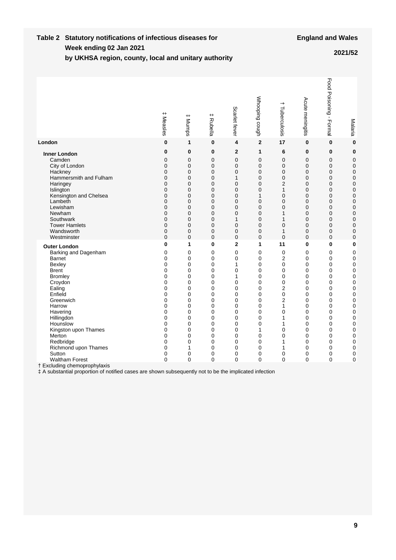#### **Week ending Table 2 Statutory notifications of infectious diseases for by UKHSA region, county, local and unitary authority 02 Jan 2021 2021/52**

|                                                                                                                                                                                                                                                                                                                                                 | $^{\rm +}$<br>Measles                                                                                                                                                                                   | $^+$<br>Mumps                                                                                                                                                                                             | $^{\rm +}$<br>Rubella                                                                                                | Scarlet fever                                                                                                                                                                                                      | Whooping cough                                                                                                | $\overline{\phantom{0}}$<br>Tuberculosis                                                                                                                               | Acute meningitis                                                                                                                                                                                                                                                                                | Food Poisoning -<br>Formal                                                                                                                                                                           | Malaria                                                                                                                                                                                                          |
|-------------------------------------------------------------------------------------------------------------------------------------------------------------------------------------------------------------------------------------------------------------------------------------------------------------------------------------------------|---------------------------------------------------------------------------------------------------------------------------------------------------------------------------------------------------------|-----------------------------------------------------------------------------------------------------------------------------------------------------------------------------------------------------------|----------------------------------------------------------------------------------------------------------------------|--------------------------------------------------------------------------------------------------------------------------------------------------------------------------------------------------------------------|---------------------------------------------------------------------------------------------------------------|------------------------------------------------------------------------------------------------------------------------------------------------------------------------|-------------------------------------------------------------------------------------------------------------------------------------------------------------------------------------------------------------------------------------------------------------------------------------------------|------------------------------------------------------------------------------------------------------------------------------------------------------------------------------------------------------|------------------------------------------------------------------------------------------------------------------------------------------------------------------------------------------------------------------|
| London                                                                                                                                                                                                                                                                                                                                          | 0                                                                                                                                                                                                       | 1                                                                                                                                                                                                         | 0                                                                                                                    | 4                                                                                                                                                                                                                  | $\mathbf 2$                                                                                                   | 17                                                                                                                                                                     | 0                                                                                                                                                                                                                                                                                               | 0                                                                                                                                                                                                    | $\bf{0}$                                                                                                                                                                                                         |
| <b>Inner London</b><br>Camden<br>City of London<br>Hackney<br>Hammersmith and Fulham<br>Haringey<br>Islington<br>Kensington and Chelsea<br>Lambeth<br>Lewisham<br>Newham<br>Southwark<br><b>Tower Hamlets</b><br>Wandsworth<br>Westminster                                                                                                      | 0<br>$\overline{0}$<br>$\mathbf 0$<br>0<br>$\mathbf 0$<br>$\mathbf 0$<br>$\Omega$<br>$\mathbf 0$<br>$\mathbf 0$<br>$\mathbf 0$<br>0<br>0<br>$\Omega$<br>$\mathbf 0$<br>$\mathbf 0$                      | 0<br>$\overline{0}$<br>$\mathbf 0$<br>$\mathbf 0$<br>$\mathbf 0$<br>$\mathbf 0$<br>$\mathbf 0$<br>$\mathbf 0$<br>$\mathbf 0$<br>$\mathbf 0$<br>$\mathbf 0$<br>0<br>$\Omega$<br>$\mathbf 0$<br>$\mathbf 0$ | 0<br>$\overline{0}$<br>0<br>0<br>0<br>0<br>$\mathbf 0$<br>0<br>0<br>0<br>0<br>0<br>$\Omega$<br>0<br>0                | $\overline{2}$<br>$\overline{0}$<br>$\overline{0}$<br>$\mathbf 0$<br>1<br>$\mathbf 0$<br>$\mathbf 0$<br>$\mathbf 0$<br>$\mathbf 0$<br>$\mathbf 0$<br>$\mathbf 0$<br>1<br>$\mathbf 0$<br>$\mathbf 0$<br>$\mathbf 0$ | 1<br>0<br>0<br>0<br>0<br>0<br>$\mathbf 0$<br>1<br>0<br>0<br>0<br>0<br>0<br>0<br>0                             | 6<br>$\overline{0}$<br>$\Omega$<br>$\mathbf 0$<br>$\mathbf 0$<br>2<br>$\mathbf{1}$<br>0<br>$\mathbf 0$<br>0<br>1<br>1<br>$\Omega$<br>1<br>$\Omega$                     | $\bf{0}$<br>$\overline{0}$<br>0<br>$\overline{0}$<br>$\mathbf 0$<br>$\mathbf 0$<br>0<br>$\mathbf 0$<br>$\mathbf 0$<br>$\mathbf 0$<br>0<br>$\mathbf 0$<br>$\Omega$<br>$\mathbf 0$<br>$\mathbf 0$                                                                                                 | 0<br>$\mathbf 0$<br>$\mathbf 0$<br>0<br>0<br>0<br>0<br>0<br>$\mathbf 0$<br>0<br>0<br>0<br>$\mathbf 0$<br>$\mathbf 0$<br>$\mathbf 0$                                                                  | $\bf{0}$<br>$\mathbf 0$<br>$\mathbf 0$<br>$\mathbf 0$<br>$\mathbf 0$<br>$\mathbf 0$<br>$\mathbf 0$<br>$\mathbf 0$<br>$\mathbf 0$<br>$\mathbf 0$<br>$\mathbf 0$<br>$\mathbf 0$<br>$\mathbf 0$<br>0<br>$\mathbf 0$ |
| <b>Outer London</b><br>Barking and Dagenham<br><b>Barnet</b><br>Bexley<br><b>Brent</b><br><b>Bromley</b><br>Croydon<br>Ealing<br>Enfield<br>Greenwich<br>Harrow<br>Havering<br>Hillingdon<br>Hounslow<br>Kingston upon Thames<br>Merton<br>Redbridge<br>Richmond upon Thames<br>Sutton<br><b>Waltham Forest</b><br>† Excluding chemoprophylaxis | $\mathbf 0$<br>$\mathbf 0$<br>$\mathbf 0$<br>$\mathbf 0$<br>0<br>0<br>0<br>$\mathbf 0$<br>0<br>$\Omega$<br>$\overline{0}$<br>$\overline{0}$<br>0<br>0<br>0<br>$\mathbf 0$<br>0<br>$\mathbf 0$<br>0<br>0 | 1<br>0<br>0<br>0<br>0<br>0<br>0<br>0<br>0<br>0<br>$\overline{0}$<br>$\overline{0}$<br>0<br>$\overline{0}$<br>$\overline{0}$<br>0<br>0<br>1<br>0<br>$\mathbf{0}$                                           | 0<br>$\mathbf 0$<br>$\mathbf 0$<br>0<br>0<br>0<br>0<br>0<br>0<br>0<br>0<br>0<br>0<br>0<br>0<br>0<br>0<br>0<br>0<br>0 | $\overline{2}$<br>0<br>$\overline{0}$<br>1<br>$\overline{0}$<br>1<br>$\mathbf 0$<br>0<br>0<br>0<br>$\overline{0}$<br>$\overline{0}$<br>$\overline{0}$<br>$\overline{0}$<br>$\overline{0}$<br>0<br>0<br>0<br>0<br>0 | 1<br>0<br>0<br>0<br>0<br>0<br>0<br>0<br>0<br>0<br>0<br>0<br>0<br>$\overline{0}$<br>1<br>0<br>0<br>0<br>0<br>0 | 11<br>$\mathbf 0$<br>$\overline{2}$<br>0<br>0<br>0<br>0<br>$\overline{2}$<br>0<br>$\overline{2}$<br>1<br>$\overline{0}$<br>1<br>1<br>0<br>0<br>1<br>1<br>0<br>$\Omega$ | $\mathbf{0}$<br>$\mathbf 0$<br>$\mathbf 0$<br>$\mathbf 0$<br>$\mathbf 0$<br>$\mathbf 0$<br>$\mathbf 0$<br>$\mathbf 0$<br>$\mathbf 0$<br>0<br>$\mathbf 0$<br>$\mathbf 0$<br>$\mathbf 0$<br>$\mathbf 0$<br>$\mathbf 0$<br>$\mathbf 0$<br>$\mathbf 0$<br>$\mathbf 0$<br>$\mathbf 0$<br>$\mathbf 0$ | $\mathbf 0$<br>$\mathbf 0$<br>$\mathbf 0$<br>0<br>0<br>0<br>0<br>0<br>0<br>$\mathbf 0$<br>$\mathbf 0$<br>$\mathbf 0$<br>$\mathbf 0$<br>$\mathbf 0$<br>$\mathbf 0$<br>0<br>0<br>0<br>0<br>$\mathbf 0$ | $\mathbf 0$<br>0<br>$\mathbf 0$<br>$\mathbf 0$<br>$\mathbf 0$<br>$\mathbf 0$<br>$\mathbf 0$<br>0<br>0<br>0<br>$\mathbf 0$<br>$\mathbf 0$<br>$\mathbf 0$<br>$\mathbf 0$<br>$\mathbf 0$<br>0<br>0<br>0<br>0<br>0   |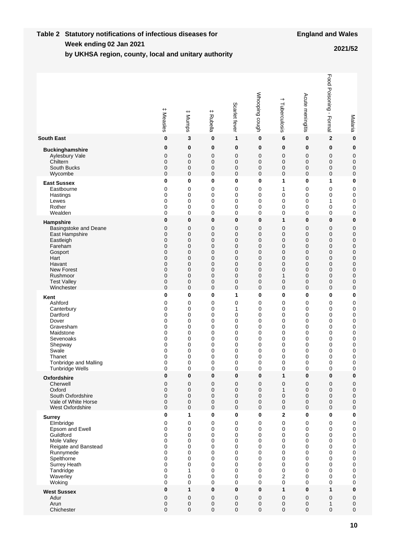#### **Week ending Table 2 Statutory notifications of infectious diseases for by UKHSA region, county, local and unitary authority 02 Jan 2021 2021/52**

|                        | ++<br>Measles | $^{\rm +}$<br>Mumps | # Rubella | Scarlet fever | Whooping cough | +<br>Tuberculosis | Acute meningitis | Food Poisoning -<br>Formal | Malaria          |
|------------------------|---------------|---------------------|-----------|---------------|----------------|-------------------|------------------|----------------------------|------------------|
| <b>South East</b>      | $\bf{0}$      | 3                   | $\bf{0}$  | 1             | $\bf{0}$       | 6                 | $\bf{0}$         | $\mathbf{2}$               | $\bf{0}$         |
| <b>Buckinghamshire</b> | 0             | 0                   | 0         | 0             | 0              | 0                 | 0                | $\bf{0}$                   | $\bf{0}$         |
| Aylesbury Vale         | 0             | 0                   | 0         | 0             | 0              | $\mathbf 0$       | $\mathbf 0$      | 0                          | $\mathbf 0$      |
| Chiltern               | $\mathbf 0$   | $\mathbf 0$         | 0         | $\mathbf 0$   | 0              | 0                 | $\mathbf 0$      | 0                          | $\mathbf 0$      |
| South Bucks            | $\mathbf 0$   | 0                   | 0         | 0             | 0              | $\mathbf 0$       | 0                | 0                          | 0                |
| Wycombe                | $\mathbf 0$   | $\mathbf 0$         | 0         | $\mathbf 0$   | 0              | $\mathbf 0$       | $\mathbf 0$      | $\mathbf 0$                | $\mathbf 0$      |
| <b>East Sussex</b>     | 0             | 0                   | 0         | $\bf{0}$      | 0              | 1                 | $\bf{0}$         | 1                          | 0                |
| Eastbourne             | 0             | 0                   | 0         | 0             | 0              | 1                 | 0                | 0                          | 0                |
| Hastings               | 0             | 0                   | 0         | 0             | 0              | $\mathbf 0$       | 0                | 0                          | 0                |
| Lewes                  | 0             | 0                   | 0         | 0             | 0              | $\mathbf 0$       | 0                | 1                          | 0                |
| Rother                 | 0             | 0                   | 0         | 0             | 0              | 0                 | $\mathbf 0$      | 0                          | 0                |
| Wealden                | 0             | 0                   | 0         | 0             | 0              | 0                 | 0                | 0                          | 0                |
| Hampshire              | 0             | 0                   | 0         | $\bf{0}$      | 0              | 1                 | $\bf{0}$         | 0                          | $\bf{0}$         |
| Basingstoke and Deane  | 0             | $\mathbf 0$         | 0         | $\mathbf 0$   | 0              | $\mathbf 0$       | 0                | $\mathbf 0$                | 0                |
| East Hampshire         | $\mathbf 0$   | $\mathbf 0$         | 0         | $\mathbf 0$   | 0              | $\mathbf 0$       | $\mathbf 0$      | $\mathbf 0$                | $\boldsymbol{0}$ |
| Eastleigh              | $\mathbf 0$   | $\mathbf 0$         | 0         | $\mathbf 0$   | 0              | $\mathbf 0$       | 0                | $\mathbf 0$                | $\mathbf 0$      |
| Fareham                | $\mathbf 0$   | $\mathbf 0$         | 0         | 0             | 0              | $\mathbf 0$       | $\mathbf 0$      | $\mathbf 0$                | $\mathbf 0$      |
| Gosport                | 0             | $\mathbf 0$         | 0         | $\mathbf 0$   | 0              | $\overline{0}$    | $\mathbf 0$      | $\mathbf 0$                | $\mathbf 0$      |
| Hart                   | 0             | 0                   | 0         | 0             | 0              | 0                 | $\mathbf 0$      | 0                          | $\mathbf 0$      |
| Havant                 | 0             | 0                   | 0         | 0             | 0              | 0                 | $\mathbf 0$      | 0                          | $\mathbf 0$      |
| <b>New Forest</b>      | 0             | 0                   | 0         | $\mathbf 0$   | 0              | 0                 | $\mathbf 0$      | 0                          | $\mathbf 0$      |
| Rushmoor               | $\mathbf 0$   | 0                   | 0         | 0             | 0              | 1                 | $\mathbf 0$      | $\mathbf 0$                | $\mathbf 0$      |
| <b>Test Valley</b>     | $\pmb{0}$     | $\mathbf 0$         | 0         | $\mathbf 0$   | 0              | 0                 | 0                | 0                          | 0                |
| Winchester             | $\mathbf 0$   | 0                   | 0         | 0             | 0              | $\mathbf 0$       | $\mathbf 0$      | 0                          | 0                |
| Kent                   | 0             | 0                   | 0         | 1             | 0              | $\bf{0}$          | $\bf{0}$         | 0                          | $\bf{0}$         |
| Ashford                | 0             | 0                   | 0         | $\mathbf 0$   | 0              | $\mathbf 0$       | $\mathbf 0$      | 0                          | 0                |
| Canterbury             | 0             | 0                   | 0         | 1             | 0              | 0                 | $\mathbf 0$      | 0                          | 0                |
| Dartford               | 0             | 0                   | 0         | $\mathbf 0$   | 0              | $\mathbf 0$       | $\mathbf 0$      | 0                          | 0                |
| Dover                  | 0             | 0                   | 0         | 0             | 0              | 0                 | $\mathbf 0$      | 0                          | 0                |
| Gravesham              | 0             | 0                   | 0         | 0             | 0              | $\mathbf 0$       | $\mathbf 0$      | 0                          | 0                |
| Maidstone              | 0             | 0                   | 0         | 0             | 0              | 0                 | 0                | 0                          | 0                |
| Sevenoaks              | 0             | 0                   | 0         | 0             | 0              | 0                 | 0                | 0                          | 0                |
| Shepway                | 0             | 0                   | 0         | 0             | 0              | 0                 | 0                | 0                          | 0                |
| Swale                  | 0             | 0                   | 0         | 0             | 0              | $\mathbf 0$       | 0                | 0                          | 0                |
| Thanet                 | 0             | 0                   | 0         | 0             | 0              | 0                 | 0                | 0                          | 0                |
| Tonbridge and Malling  | 0             | 0                   | 0         | 0             | 0              | 0                 | 0                | 0                          | 0                |
| <b>Tunbridge Wells</b> | 0             | 0                   | 0         | 0             | 0              | $\mathbf 0$       | 0                | $\mathbf 0$                | 0                |
| Oxfordshire            | 0             | 0                   | 0         | 0             | 0              | 1                 | $\pmb{0}$        | 0                          | 0                |
| Cherwell               | 0             | 0                   | 0         | $\mathbf 0$   | 0              | $\mathbf 0$       | $\mathbf 0$      | $\mathbf 0$                | $\boldsymbol{0}$ |
| Oxford                 | $\mathbf 0$   | $\mathbf 0$         | 0         | 0             | 0              | $\mathbf{1}$      | $\mathbf 0$      | 0                          | $\pmb{0}$        |
| South Oxfordshire      | $\mathbf 0$   | $\mathbf 0$         | 0         | 0             | 0              | 0                 | $\mathbf 0$      | 0                          | $\pmb{0}$        |
| Vale of White Horse    | $\mathbf 0$   | 0                   | 0         | 0             | $\pmb{0}$      | $\mathbf 0$       | $\pmb{0}$        | $\pmb{0}$                  | $\pmb{0}$        |
| West Oxfordshire       | $\mathbf 0$   | $\mathbf 0$         | 0         | $\mathbf 0$   | $\mathbf 0$    | $\mathbf 0$       | $\mathbf 0$      | 0                          | $\pmb{0}$        |
| <b>Surrey</b>          | $\bf{0}$      | 1                   | 0         | $\mathbf 0$   | $\bf{0}$       | $\mathbf 2$       | 0                | 0                          | $\bf{0}$         |
| Elmbridge              | 0             | 0                   | 0         | 0             | 0              | $\mathbf 0$       | 0                | 0                          | $\mathbf 0$      |
| Epsom and Ewell        | 0             | 0                   | 0         | 0             | 0              | $\mathbf 0$       | 0                | 0                          | $\pmb{0}$        |
| Guildford              | 0             | 0                   | 0         | $\mathbf 0$   | 0              | $\mathbf 0$       | 0                | 0                          | $\pmb{0}$        |
| Mole Valley            | 0             | 0                   | 0         | 0             | 0              | $\mathbf 0$       | 0                | 0                          | $\pmb{0}$        |
| Reigate and Banstead   | $\mathbf 0$   | 0                   | 0         | $\mathbf 0$   | 0              | $\mathbf 0$       | 0                | 0                          | $\mathbf 0$      |
| Runnymede              | 0             | 0                   | 0         | 0             | 0              | 0                 | 0                | 0                          | 0                |
| Spelthorne             | 0             | 0                   | 0         | $\mathbf 0$   | 0              | $\mathbf 0$       | 0                | 0                          | 0                |
| Surrey Heath           | 0             | 0                   | 0         | $\mathbf 0$   | 0              | $\mathbf 0$       | 0                | 0                          | 0                |
| Tandridge              | 0             | 1                   | 0         | $\mathbf 0$   | 0              | $\mathbf 0$       | 0                | 0                          | 0                |
| Waverley               | 0             | 0                   | 0         | 0             | 0              | 2                 | 0                | 0                          | 0                |
| Woking                 | 0             | 0                   | 0         | $\mathbf 0$   | 0              | $\mathbf 0$       | 0                | 0                          | 0                |
| <b>West Sussex</b>     | 0             | $\mathbf{1}$        | 0         | $\bf{0}$      | 0              | $\mathbf{1}$      | $\pmb{0}$        | 1                          | $\bf{0}$         |
| Adur                   | $\mathbf 0$   | 0                   | 0         | 0             | 0              | $\mathbf 0$       | $\mathbf 0$      | 0                          | $\pmb{0}$        |
| Arun                   | $\mathbf 0$   | 0                   | 0         | 0             | 0              | $\mathbf 0$       | 0                | 1                          | $\pmb{0}$        |
| Chichester             | $\pmb{0}$     | 0                   | 0         | $\mathbf 0$   | 0              | 0                 | $\mathbf 0$      | 0                          | 0                |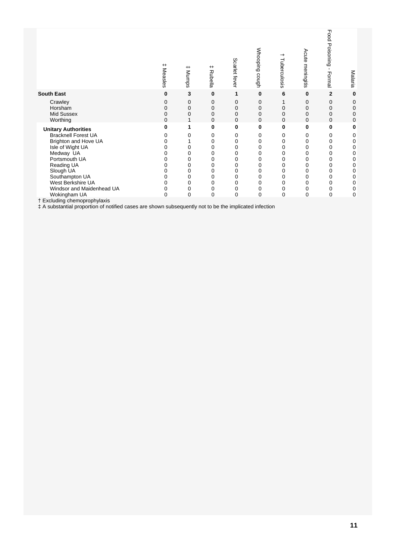|                                                                                                                                                                                                                                   | $^+$<br>Measles | $^+$<br>Mumps                                  | $^+$<br>Rubella                                     | Scarlet fever                        | Whooping cough                                                    | →<br>Tuberculosis                                   | Acute meningitis                                           | Food<br>Poisoning<br>$\blacksquare$<br>Formal       | Malaria                                             |
|-----------------------------------------------------------------------------------------------------------------------------------------------------------------------------------------------------------------------------------|-----------------|------------------------------------------------|-----------------------------------------------------|--------------------------------------|-------------------------------------------------------------------|-----------------------------------------------------|------------------------------------------------------------|-----------------------------------------------------|-----------------------------------------------------|
| <b>South East</b>                                                                                                                                                                                                                 | 0               | 3                                              | $\bf{0}$                                            | 1                                    | $\bf{0}$                                                          | 6                                                   | $\bf{0}$                                                   | $\mathbf{2}$                                        | 0                                                   |
| Crawley<br>Horsham<br>Mid Sussex<br>Worthing                                                                                                                                                                                      | O               | 0<br>0<br>0                                    | 0<br>0<br>0<br>0                                    | 0<br>$\Omega$<br>0<br>$\Omega$       | 0<br>0<br>0<br>0                                                  | 0<br>0<br>0                                         | $\Omega$<br>0<br>$\Omega$<br>$\Omega$                      | 0<br>0<br>0<br>$\Omega$                             | 0<br>0<br>0<br>0                                    |
| <b>Unitary Authorities</b><br><b>Bracknell Forest UA</b><br>Brighton and Hove UA<br>Isle of Wight UA<br>Medway UA<br>Portsmouth UA<br>Reading UA<br>Slough UA<br>Southampton UA<br>West Berkshire UA<br>Windsor and Maidenhead UA | n               | 1<br>0<br>0<br>0<br>0<br>0<br>0<br>0<br>0<br>0 | 0<br>0<br>0<br>0<br>0<br>0<br>0<br>0<br>0<br>0<br>0 | 0<br>0<br>0<br>0<br>0<br>0<br>0<br>0 | 0<br>0<br>0<br>0<br>0<br>0<br>$\Omega$<br>0<br>$\Omega$<br>0<br>0 | 0<br>0<br>0<br>0<br>0<br>0<br>0<br>0<br>0<br>0<br>0 | 0<br>0<br>0<br>0<br>0<br>0<br>0<br>0<br>$\Omega$<br>0<br>0 | 0<br>0<br>0<br>0<br>0<br>0<br>0<br>0<br>0<br>0<br>0 | 0<br>0<br>0<br>0<br>0<br>0<br>0<br>0<br>0<br>0<br>0 |
| Wokingham UA<br>† Excluding chemoprophylaxis                                                                                                                                                                                      | 0               | 0                                              | $\mathbf 0$                                         | $\Omega$                             | $\Omega$                                                          | 0                                                   | 0                                                          | 0                                                   | 0                                                   |
| # A substantial proportion of notified cases are shown subsequently not to be the implicated infection                                                                                                                            |                 |                                                |                                                     |                                      |                                                                   |                                                     |                                                            |                                                     |                                                     |

÷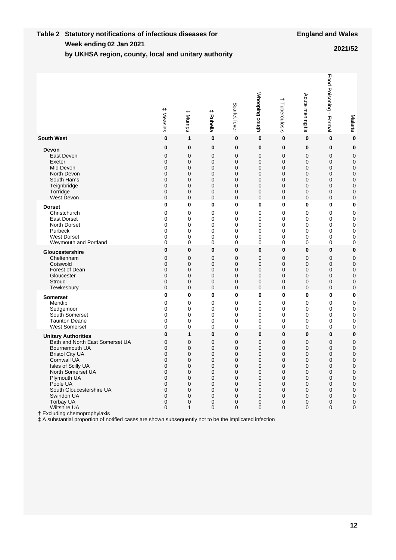#### **Week ending Table 2 Statutory notifications of infectious diseases for by UKHSA region, county, local and unitary authority 02 Jan 2021 2021/52**

|                                                                                                                                                                                                                                                                                                                                                                                                                        | $^{\rm +}$<br>Measles                                         | # Munps                                                       | $^+$<br>Rubella                                               | Scarlet fever                                                                   | Whooping cough                                                | $\overline{\phantom{0}}$<br>Tuberculosis                                 | Acute meningitis                                                                                    | Food Poisoning -<br>Formal                                                               | Malaria                                                                                                                  |
|------------------------------------------------------------------------------------------------------------------------------------------------------------------------------------------------------------------------------------------------------------------------------------------------------------------------------------------------------------------------------------------------------------------------|---------------------------------------------------------------|---------------------------------------------------------------|---------------------------------------------------------------|---------------------------------------------------------------------------------|---------------------------------------------------------------|--------------------------------------------------------------------------|-----------------------------------------------------------------------------------------------------|------------------------------------------------------------------------------------------|--------------------------------------------------------------------------------------------------------------------------|
| <b>South West</b>                                                                                                                                                                                                                                                                                                                                                                                                      | 0                                                             | 1                                                             | 0                                                             | $\bf{0}$                                                                        | 0                                                             | 0                                                                        | 0                                                                                                   | $\bf{0}$                                                                                 | $\bf{0}$                                                                                                                 |
| Devon                                                                                                                                                                                                                                                                                                                                                                                                                  | 0                                                             | 0                                                             | 0                                                             | 0                                                                               | 0                                                             | 0                                                                        | $\bf{0}$                                                                                            | 0                                                                                        | $\bf{0}$                                                                                                                 |
| East Devon                                                                                                                                                                                                                                                                                                                                                                                                             | 0                                                             | 0                                                             | 0                                                             | 0                                                                               | 0                                                             | $\mathbf 0$                                                              | $\mathbf 0$                                                                                         | $\mathbf 0$                                                                              | $\mathbf 0$                                                                                                              |
| Exeter                                                                                                                                                                                                                                                                                                                                                                                                                 | 0                                                             | 0                                                             | 0                                                             | 0                                                                               | 0                                                             | $\Omega$                                                                 | $\mathbf 0$                                                                                         | $\mathbf 0$                                                                              | 0                                                                                                                        |
| Mid Devon                                                                                                                                                                                                                                                                                                                                                                                                              | 0                                                             | 0                                                             | 0                                                             | $\mathbf 0$                                                                     | 0                                                             | 0                                                                        | $\mathbf 0$                                                                                         | $\mathbf 0$                                                                              | $\mathbf 0$                                                                                                              |
| North Devon                                                                                                                                                                                                                                                                                                                                                                                                            | 0                                                             | 0                                                             | 0                                                             | 0                                                                               | 0                                                             | 0                                                                        | $\mathbf 0$                                                                                         | $\mathbf 0$                                                                              | 0                                                                                                                        |
| South Hams                                                                                                                                                                                                                                                                                                                                                                                                             | 0                                                             | 0                                                             | 0                                                             | 0                                                                               | 0                                                             | 0                                                                        | $\mathbf 0$                                                                                         | $\mathbf 0$                                                                              | $\mathbf 0$                                                                                                              |
| Teignbridge                                                                                                                                                                                                                                                                                                                                                                                                            | 0                                                             | 0                                                             | 0                                                             | 0                                                                               | 0                                                             | 0                                                                        | 0                                                                                                   | $\mathbf 0$                                                                              | 0                                                                                                                        |
| Torridge                                                                                                                                                                                                                                                                                                                                                                                                               | 0                                                             | 0                                                             | 0                                                             | 0                                                                               | 0                                                             | 0                                                                        | $\mathbf 0$                                                                                         | 0                                                                                        | $\mathbf 0$                                                                                                              |
| West Devon                                                                                                                                                                                                                                                                                                                                                                                                             | 0                                                             | 0                                                             | 0                                                             | $\mathbf 0$                                                                     | 0                                                             | 0                                                                        | $\mathbf 0$                                                                                         | $\mathbf 0$                                                                              | 0                                                                                                                        |
| <b>Dorset</b>                                                                                                                                                                                                                                                                                                                                                                                                          | 0                                                             | 0                                                             | 0                                                             | $\bf{0}$                                                                        | 0                                                             | 0                                                                        | 0                                                                                                   | $\bf{0}$                                                                                 | 0                                                                                                                        |
| Christchurch                                                                                                                                                                                                                                                                                                                                                                                                           | 0                                                             | 0                                                             | 0                                                             | 0                                                                               | 0                                                             | 0                                                                        | 0                                                                                                   | 0                                                                                        | 0                                                                                                                        |
| <b>East Dorset</b>                                                                                                                                                                                                                                                                                                                                                                                                     | 0                                                             | 0                                                             | 0                                                             | 0                                                                               | 0                                                             | 0                                                                        | $\mathbf 0$                                                                                         | 0                                                                                        | 0                                                                                                                        |
| North Dorset                                                                                                                                                                                                                                                                                                                                                                                                           | 0                                                             | 0                                                             | 0                                                             | 0                                                                               | 0                                                             | 0                                                                        | $\mathbf 0$                                                                                         | 0                                                                                        | $\mathbf 0$                                                                                                              |
| Purbeck                                                                                                                                                                                                                                                                                                                                                                                                                | 0                                                             | 0                                                             | 0                                                             | 0                                                                               | 0                                                             | 0                                                                        | $\mathbf 0$                                                                                         | 0                                                                                        | 0                                                                                                                        |
| <b>West Dorset</b>                                                                                                                                                                                                                                                                                                                                                                                                     | 0                                                             | 0                                                             | 0                                                             | 0                                                                               | 0                                                             | 0                                                                        | 0                                                                                                   | 0                                                                                        | $\mathbf 0$                                                                                                              |
| Weymouth and Portland                                                                                                                                                                                                                                                                                                                                                                                                  | 0                                                             | 0                                                             | 0                                                             | 0                                                                               | 0                                                             | 0                                                                        | 0                                                                                                   | 0                                                                                        | 0                                                                                                                        |
| Gloucestershire                                                                                                                                                                                                                                                                                                                                                                                                        | 0                                                             | $\bf{0}$                                                      | 0                                                             | $\bf{0}$                                                                        | 0                                                             | $\bf{0}$                                                                 | $\bf{0}$                                                                                            | 0                                                                                        | 0                                                                                                                        |
| Cheltenham                                                                                                                                                                                                                                                                                                                                                                                                             | 0                                                             | 0                                                             | 0                                                             | $\mathbf 0$                                                                     | 0                                                             | $\mathbf 0$                                                              | 0                                                                                                   | $\mathbf 0$                                                                              | 0                                                                                                                        |
| Cotswold                                                                                                                                                                                                                                                                                                                                                                                                               | 0                                                             | 0                                                             | 0                                                             | $\mathbf 0$                                                                     | 0                                                             | 0                                                                        | $\mathbf 0$                                                                                         | $\mathbf 0$                                                                              | $\mathbf 0$                                                                                                              |
| Forest of Dean                                                                                                                                                                                                                                                                                                                                                                                                         | 0                                                             | 0                                                             | 0                                                             | $\mathbf 0$                                                                     | 0                                                             | $\mathbf 0$                                                              | 0                                                                                                   | $\mathbf 0$                                                                              | $\mathbf 0$                                                                                                              |
| Gloucester                                                                                                                                                                                                                                                                                                                                                                                                             | 0                                                             | 0                                                             | 0                                                             | 0                                                                               | 0                                                             | 0                                                                        | $\mathbf 0$                                                                                         | $\mathbf 0$                                                                              | $\mathbf 0$                                                                                                              |
| Stroud                                                                                                                                                                                                                                                                                                                                                                                                                 | 0                                                             | 0                                                             | 0                                                             | $\mathbf 0$                                                                     | 0                                                             | 0                                                                        | 0                                                                                                   | $\mathbf 0$                                                                              | 0                                                                                                                        |
| Tewkesbury                                                                                                                                                                                                                                                                                                                                                                                                             | 0                                                             | 0                                                             | 0                                                             | $\mathbf 0$                                                                     | 0                                                             | $\mathbf 0$                                                              | $\mathbf 0$                                                                                         | $\mathbf 0$                                                                              | $\mathbf 0$                                                                                                              |
| <b>Somerset</b>                                                                                                                                                                                                                                                                                                                                                                                                        | 0                                                             | 0                                                             | 0                                                             | $\bf{0}$                                                                        | 0                                                             | 0                                                                        | $\mathbf 0$                                                                                         | $\bf{0}$                                                                                 | 0                                                                                                                        |
| Mendip                                                                                                                                                                                                                                                                                                                                                                                                                 | 0                                                             | 0                                                             | 0                                                             | 0                                                                               | 0                                                             | 0                                                                        | $\mathbf 0$                                                                                         | $\mathbf 0$                                                                              | $\mathbf 0$                                                                                                              |
| Sedgemoor                                                                                                                                                                                                                                                                                                                                                                                                              | 0                                                             | 0                                                             | 0                                                             | 0                                                                               | 0                                                             | 0                                                                        | $\mathbf 0$                                                                                         | 0                                                                                        | $\mathbf 0$                                                                                                              |
| South Somerset                                                                                                                                                                                                                                                                                                                                                                                                         | 0                                                             | 0                                                             | 0                                                             | 0                                                                               | 0                                                             | 0                                                                        | $\mathbf 0$                                                                                         | 0                                                                                        | $\mathbf 0$                                                                                                              |
| <b>Taunton Deane</b>                                                                                                                                                                                                                                                                                                                                                                                                   | 0                                                             | 0                                                             | 0                                                             | 0                                                                               | 0                                                             | 0                                                                        | $\mathbf 0$                                                                                         | 0                                                                                        | $\mathbf 0$                                                                                                              |
| <b>West Somerset</b>                                                                                                                                                                                                                                                                                                                                                                                                   | 0                                                             | 0                                                             | 0                                                             | 0                                                                               | 0                                                             | 0                                                                        | $\mathbf 0$                                                                                         | 0                                                                                        | $\mathbf 0$                                                                                                              |
| <b>Unitary Authorities</b><br>Bath and North East Somerset UA<br>Bournemouth UA<br><b>Bristol City UA</b><br><b>Cornwall UA</b><br>Isles of Scilly UA<br>North Somerset UA<br>Plymouth UA<br>Poole UA<br>South Gloucestershire UA<br>Swindon UA<br>Torbay UA<br>Wiltshire UA<br>† Excluding chemoprophylaxis<br># A substantial proportion of notified cases are shown subsequently not to be the implicated infection | 0<br>0<br>0<br>0<br>0<br>0<br>0<br>0<br>0<br>0<br>0<br>0<br>0 | 1<br>0<br>0<br>0<br>0<br>0<br>0<br>0<br>0<br>0<br>0<br>0<br>1 | 0<br>0<br>0<br>0<br>0<br>0<br>0<br>0<br>0<br>0<br>0<br>0<br>0 | $\bf{0}$<br>0<br>0<br>0<br>0<br>0<br>0<br>0<br>0<br>0<br>0<br>0<br>$\mathbf{0}$ | 0<br>0<br>0<br>0<br>0<br>0<br>0<br>0<br>0<br>0<br>0<br>0<br>0 | 0<br>0<br>0<br>0<br>0<br>0<br>0<br>0<br>0<br>0<br>0<br>0<br>$\mathbf{0}$ | $\bf{0}$<br>0<br>$\mathbf 0$<br>0<br>$\mathbf 0$<br>0<br>0<br>0<br>0<br>0<br>0<br>0<br>$\mathbf{0}$ | $\bf{0}$<br>$\mathbf 0$<br>$\mathbf 0$<br>0<br>0<br>0<br>0<br>0<br>0<br>0<br>0<br>0<br>0 | $\bf{0}$<br>0<br>$\mathbf 0$<br>0<br>0<br>0<br>$\mathbf 0$<br>0<br>$\pmb{0}$<br>$\pmb{0}$<br>$\pmb{0}$<br>0<br>$\pmb{0}$ |

† Excluding chemoprophylaxis<br>
‡ A substantial proportion of notified cases are shown subsequently not to be the implicated infection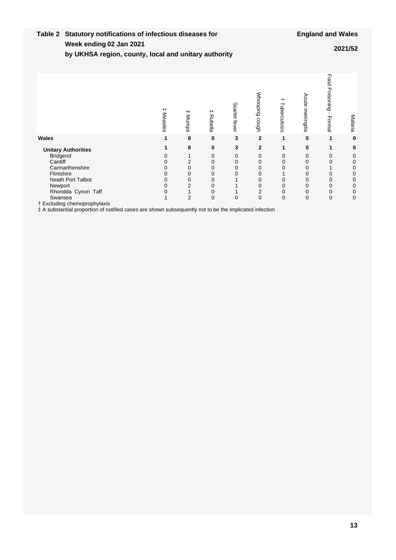#### **Week ending Table 2 Statutory notifications of infectious diseases for 02 Jan 2021 2021/52**

**by UKHSA region, county, local and unitary authority**

|                                                                                                        | $^+$<br>Measles | $^+$<br>Mumps  | $^+$<br>Rubella | Scarlet fever | <b>Mhooping</b><br>cough | Tuberculosis   | Acute<br>meningitis | Food Poisoning<br>Formal | Malaria |
|--------------------------------------------------------------------------------------------------------|-----------------|----------------|-----------------|---------------|--------------------------|----------------|---------------------|--------------------------|---------|
| Wales                                                                                                  |                 | 8              | $\bf{0}$        | 3             | $\overline{2}$           | 1              | $\bf{0}$            | 1                        | 0       |
| <b>Unitary Authorities</b>                                                                             |                 | 8              | 0               | 3             | 2                        | 1              | 0                   |                          | 0       |
| <b>Bridgend</b>                                                                                        |                 |                | 0               | 0             | 0                        | 0              | 0                   | 0                        | 0       |
| Cardiff                                                                                                |                 |                | 0               | 0             | 0                        |                | 0                   | 0                        | 0       |
| Carmarthenshire                                                                                        | 0               |                | 0               | 0             | 0                        |                | 0                   |                          | 0       |
| Flintshire                                                                                             |                 |                | 0               | 0             | 0                        |                | 0                   | 0                        | 0       |
| <b>Neath Port Talbot</b>                                                                               |                 |                | 0               |               | 0                        |                | 0                   | 0                        | 0       |
| Newport                                                                                                |                 |                | 0               |               | 0                        |                | 0                   | 0                        | 0       |
| Rhondda Cynon Taff                                                                                     |                 |                | 0               |               | 2                        |                | 0                   | 0                        | 0       |
| Swansea                                                                                                |                 | $\overline{2}$ | 0               | 0             | 0                        | $\overline{0}$ | 0                   | $\mathbf 0$              | 0       |
| † Excluding chemoprophylaxis                                                                           |                 |                |                 |               |                          |                |                     |                          |         |
| # A substantial proportion of notified cases are shown subsequently not to be the implicated infection |                 |                |                 |               |                          |                |                     |                          |         |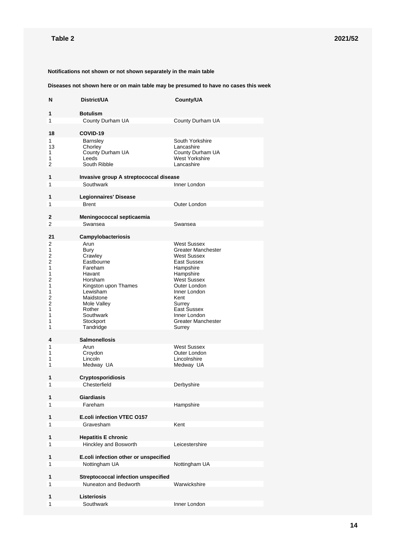#### **Notifications not shown or not shown separately in the main table**

#### **Diseases not shown here or on main table may be presumed to have no cases this week**